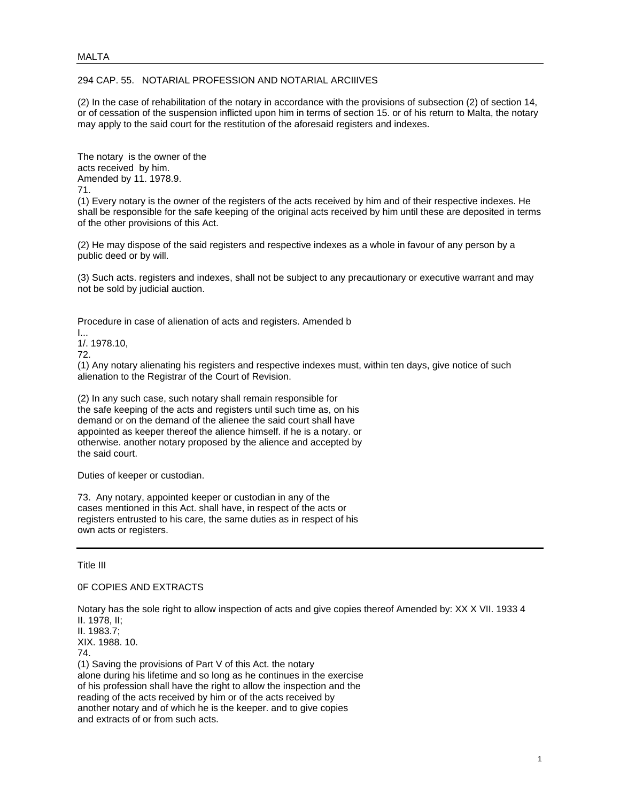## 294 CAP. 55. NOTARIAL PROFESSION AND NOTARIAL ARCIIIVES

(2) In the case of rehabilitation of the notary in accordance with the provisions of subsection (2) of section 14, or of cessation of the suspension inflicted upon him in terms of section 15. or of his return to Malta, the notary may apply to the said court for the restitution of the aforesaid registers and indexes.

The notary is the owner of the acts received by him. Amended by 11. 1978.9. 71.

(1) Every notary is the owner of the registers of the acts received by him and of their respective indexes. He shall be responsible for the safe keeping of the original acts received by him until these are deposited in terms of the other provisions of this Act.

(2) He may dispose of the said registers and respective indexes as a whole in favour of any person by a public deed or by will.

(3) Such acts. registers and indexes, shall not be subject to any precautionary or executive warrant and may not be sold by judicial auction.

Procedure in case of alienation of acts and registers. Amended b

 $\mathbf{I}$ 

1/. 1978.10,

72.

(1) Any notary alienating his registers and respective indexes must, within ten days, give notice of such alienation to the Registrar of the Court of Revision.

(2) In any such case, such notary shall remain responsible for the safe keeping of the acts and registers until such time as, on his demand or on the demand of the alienee the said court shall have appointed as keeper thereof the alience himself. if he is a notary. or otherwise. another notary proposed by the alience and accepted by the said court.

Duties of keeper or custodian.

73. Any notary, appointed keeper or custodian in any of the cases mentioned in this Act. shall have, in respect of the acts or registers entrusted to his care, the same duties as in respect of his own acts or registers.

Title III

0F COPIES AND EXTRACTS

Notary has the sole right to allow inspection of acts and give copies thereof Amended by: XX X VII. 1933 4 II. 1978, II;

II. 1983.7;

XIX. 1988. 10.

74.

(1) Saving the provisions of Part V of this Act. the notary alone during his lifetime and so long as he continues in the exercise of his profession shall have the right to allow the inspection and the reading of the acts received by him or of the acts received by another notary and of which he is the keeper. and to give copies and extracts of or from such acts.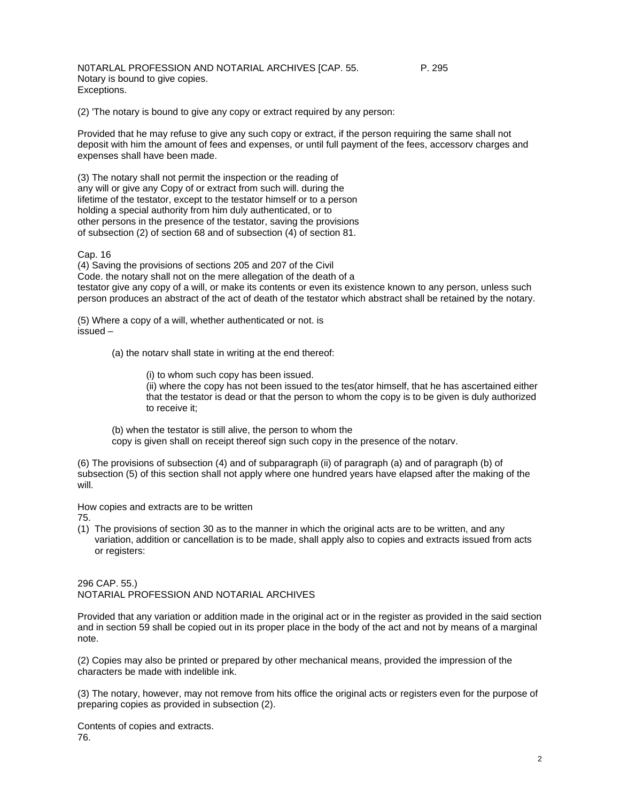NOTARLAL PROFESSION AND NOTARIAL ARCHIVES [CAP. 55. P. 295 Notary is bound to give copies. Exceptions.

(2) 'The notary is bound to give any copy or extract required by any person:

Provided that he may refuse to give any such copy or extract, if the person requiring the same shall not deposit with him the amount of fees and expenses, or until full payment of the fees, accessorv charges and expenses shall have been made.

(3) The notary shall not permit the inspection or the reading of any will or give any Copy of or extract from such will. during the lifetime of the testator, except to the testator himself or to a person holding a special authority from him duly authenticated, or to other persons in the presence of the testator, saving the provisions of subsection (2) of section 68 and of subsection (4) of section 81.

#### Cap. 16

(4) Saving the provisions of sections 205 and 207 of the Civil Code. the notary shall not on the mere allegation of the death of a testator give any copy of a will, or make its contents or even its existence known to any person, unless such person produces an abstract of the act of death of the testator which abstract shall be retained by the notary.

(5) Where a copy of a will, whether authenticated or not. is issued –

(a) the notarv shall state in writing at the end thereof:

(i) to whom such copy has been issued. (ii) where the copy has not been issued to the tes(ator himself, that he has ascertained either that the testator is dead or that the person to whom the copy is to be given is duly authorized to receive it;

(b) when the testator is still alive, the person to whom the copy is given shall on receipt thereof sign such copy in the presence of the notarv.

(6) The provisions of subsection (4) and of subparagraph (ii) of paragraph (a) and of paragraph (b) of subsection (5) of this section shall not apply where one hundred years have elapsed after the making of the will.

How copies and extracts are to be written

75.

(1) The provisions of section 30 as to the manner in which the original acts are to be written, and any variation, addition or cancellation is to be made, shall apply also to copies and extracts issued from acts or registers:

296 CAP. 55.) NOTARIAL PROFESSION AND NOTARIAL ARCHIVES

Provided that any variation or addition made in the original act or in the register as provided in the said section and in section 59 shall be copied out in its proper place in the body of the act and not by means of a marginal note.

(2) Copies may also be printed or prepared by other mechanical means, provided the impression of the characters be made with indelible ink.

(3) The notary, however, may not remove from hits office the original acts or registers even for the purpose of preparing copies as provided in subsection (2).

Contents of copies and extracts. 76.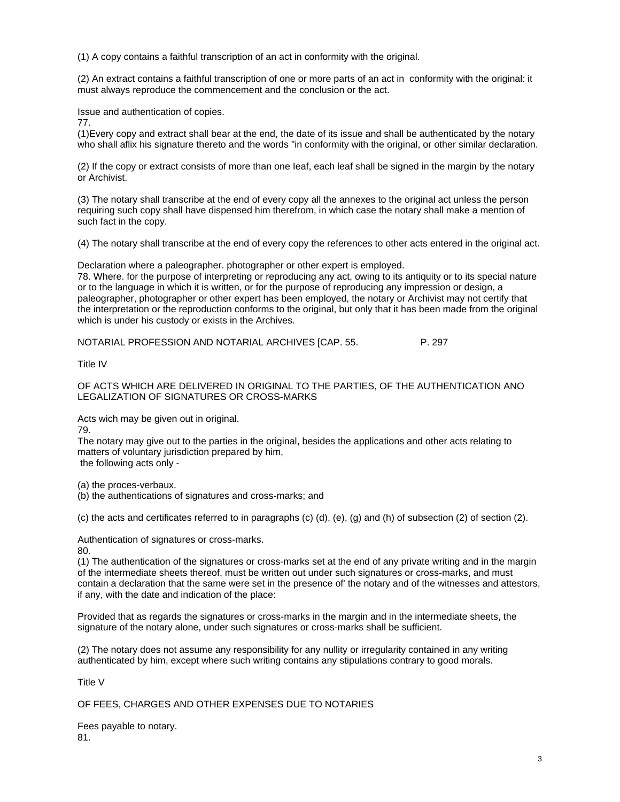(1) A copy contains a faithful transcription of an act in conformity with the original.

(2) An extract contains a faithful transcription of one or more parts of an act in conformity with the original: it must always reproduce the commencement and the conclusion or the act.

Issue and authentication of copies.

77.

(1)Every copy and extract shall bear at the end, the date of its issue and shall be authenticated by the notary who shall aflix his signature thereto and the words "in conformity with the original, or other similar declaration.

(2) If the copy or extract consists of more than one Ieaf, each leaf shall be signed in the margin by the notary or Archivist.

(3) The notary shall transcribe at the end of every copy all the annexes to the original act unless the person requiring such copy shall have dispensed him therefrom, in which case the notary shall make a mention of such fact in the copy.

(4) The notary shall transcribe at the end of every copy the references to other acts entered in the original act.

Declaration where a paleographer. photographer or other expert is employed.

78. Where. for the purpose of interpreting or reproducing any act, owing to its antiquity or to its special nature or to the language in which it is written, or for the purpose of reproducing any impression or design, a paleographer, photographer or other expert has been employed, the notary or Archivist may not certify that the interpretation or the reproduction conforms to the original, but only that it has been made from the original which is under his custody or exists in the Archives.

NOTARIAL PROFESSION AND NOTARIAL ARCHIVES [CAP. 55. P. 297

Title IV

OF ACTS WHICH ARE DELIVERED IN ORIGINAL TO THE PARTIES, OF THE AUTHENTICATION ANO LEGALIZATION OF SIGNATURES OR CROSS-MARKS

Acts wich may be given out in original.

79.

The notary may give out to the parties in the original, besides the applications and other acts relating to matters of voluntary jurisdiction prepared by him, the following acts only -

(a) the proces-verbaux.

(b) the authentications of signatures and cross-marks; and

(c) the acts and certificates referred to in paragraphs (c) (d), (e), (g) and (h) of subsection (2) of section (2).

Authentication of signatures or cross-marks.

80.

(1) The authentication of the signatures or cross-marks set at the end of any private writing and in the margin of the intermediate sheets thereof, must be written out under such signatures or cross-marks, and must contain a declaration that the same were set in the presence of' the notary and of the witnesses and attestors, if any, with the date and indication of the place:

Provided that as regards the signatures or cross-marks in the margin and in the intermediate sheets, the signature of the notary alone, under such signatures or cross-marks shall be sufficient.

(2) The notary does not assume any responsibility for any nullity or irregularity contained in any writing authenticated by him, except where such writing contains any stipulations contrary to good morals.

Title V

OF FEES, CHARGES AND OTHER EXPENSES DUE TO NOTARIES

Fees payable to notary. 81.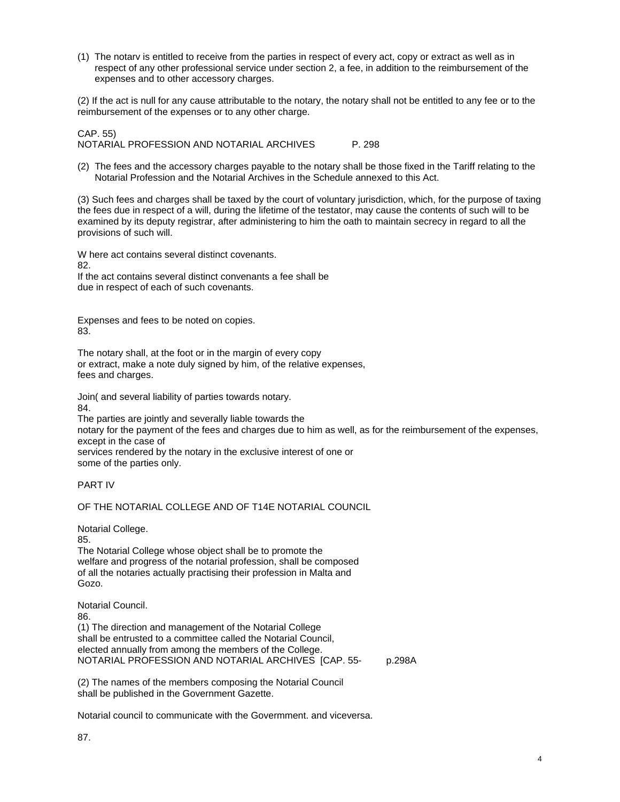(1) The notarv is entitled to receive from the parties in respect of every act, copy or extract as well as in respect of any other professional service under section 2, a fee, in addition to the reimbursement of the expenses and to other accessory charges.

(2) If the act is null for any cause attributable to the notary, the notary shall not be entitled to any fee or to the reimbursement of the expenses or to any other charge.

CAP. 55) NOTARIAL PROFESSION AND NOTARIAL ARCHIVES P. 298

(2) The fees and the accessory charges payable to the notary shall be those fixed in the Tariff relating to the Notarial Profession and the Notarial Archives in the Schedule annexed to this Act.

(3) Such fees and charges shall be taxed by the court of voluntary jurisdiction, which, for the purpose of taxing the fees due in respect of a will, during the lifetime of the testator, may cause the contents of such will to be examined by its deputy registrar, after administering to him the oath to maintain secrecy in regard to all the provisions of such will.

W here act contains several distinct covenants. 82. If the act contains several distinct convenants a fee shall be due in respect of each of such covenants.

Expenses and fees to be noted on copies. 83.

The notary shall, at the foot or in the margin of every copy or extract, make a note duly signed by him, of the relative expenses, fees and charges.

Join( and several liability of parties towards notary.

84.

The parties are jointly and severally liable towards the notary for the payment of the fees and charges due to him as well, as for the reimbursement of the expenses, except in the case of services rendered by the notary in the exclusive interest of one or some of the parties only.

# PART IV

# OF THE NOTARIAL COLLEGE AND OF T14E NOTARIAL COUNCIL

Notarial College.

85.

The Notarial College whose object shall be to promote the welfare and progress of the notarial profession, shall be composed of all the notaries actually practising their profession in Malta and Gozo.

Notarial Council. 86. (1) The direction and management of the Notarial College shall be entrusted to a committee called the Notarial Council, elected annually from among the members of the College. NOTARIAL PROFESSION AND NOTARIAL ARCHIVES [CAP. 55- p.298A

(2) The names of the members composing the Notarial Council shall be published in the Government Gazette.

Notarial council to communicate with the Govermment. and viceversa.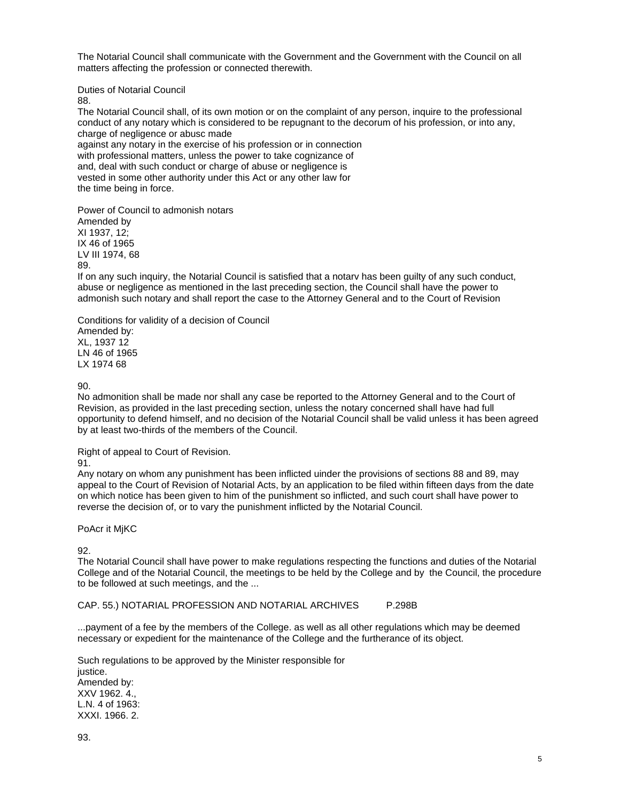The Notarial Council shall communicate with the Government and the Government with the Council on all matters affecting the profession or connected therewith.

Duties of Notarial Council

88.

The Notarial Council shall, of its own motion or on the complaint of any person, inquire to the professional conduct of any notary which is considered to be repugnant to the decorum of his profession, or into any, charge of negligence or abusc made against any notary in the exercise of his profession or in connection

with professional matters, unless the power to take cognizance of and, deal with such conduct or charge of abuse or negligence is vested in some other authority under this Act or any other law for the time being in force.

Power of Council to admonish notars Amended by XI 1937, 12; IX 46 of 1965 LV III 1974, 68 89.

If on any such inquiry, the Notarial Council is satisfied that a notarv has been guilty of any such conduct, abuse or negligence as mentioned in the last preceding section, the Council shall have the power to admonish such notary and shall report the case to the Attorney General and to the Court of Revision

Conditions for validity of a decision of Council Amended by: XL, 1937 12 LN 46 of 1965 LX 1974 68

90.

No admonition shall be made nor shall any case be reported to the Attorney General and to the Court of Revision, as provided in the last preceding section, unless the notary concerned shall have had full opportunity to defend himself, and no decision of the Notarial Council shall be valid unless it has been agreed by at least two-thirds of the members of the Council.

Right of appeal to Court of Revision.

91.

Any notary on whom any punishment has been inflicted uinder the provisions of sections 88 and 89, may appeal to the Court of Revision of Notarial Acts, by an application to be filed within fifteen days from the date on which notice has been given to him of the punishment so inflicted, and such court shall have power to reverse the decision of, or to vary the punishment inflicted by the Notarial Council.

PoAcr it MjKC

92.

The Notarial Council shall have power to make regulations respecting the functions and duties of the Notarial College and of the Notarial Council, the meetings to be held by the College and by the Council, the procedure to be followed at such meetings, and the ...

CAP. 55.) NOTARIAL PROFESSION AND NOTARIAL ARCHIVES P.298B

...payment of a fee by the members of the College. as well as all other regulations which may be deemed necessary or expedient for the maintenance of the College and the furtherance of its object.

Such regulations to be approved by the Minister responsible for justice. Amended by: XXV 1962. 4., L.N. 4 of 1963: XXXI. 1966. 2.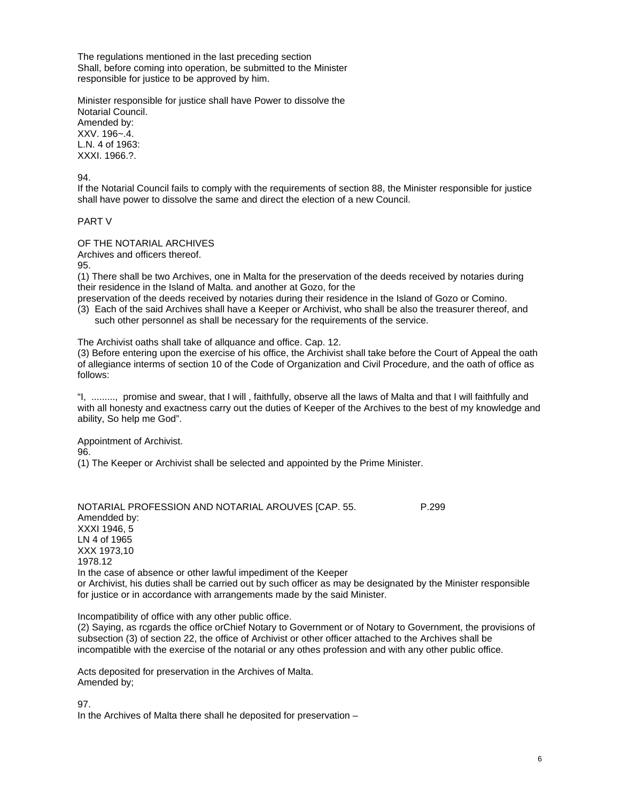The regulations mentioned in the last preceding section Shall, before coming into operation, be submitted to the Minister responsible for justice to be approved by him.

Minister responsible for justice shall have Power to dissolve the Notarial Council. Amended by: XXV. 196~.4. L.N. 4 of 1963: XXXI. 1966.?.

## 94.

If the Notarial Council fails to comply with the requirements of section 88, the Minister responsible for justice shall have power to dissolve the same and direct the election of a new Council.

### PART V

### OF THE NOTARIAL ARCHIVES

Archives and officers thereof.

95.

(1) There shall be two Archives, one in Malta for the preservation of the deeds received by notaries during their residence in the Island of Malta. and another at Gozo, for the

preservation of the deeds received by notaries during their residence in the Island of Gozo or Comino.

(3) Each of the said Archives shall have a Keeper or Archivist, who shall be also the treasurer thereof, and such other personnel as shall be necessary for the requirements of the service.

The Archivist oaths shall take of allquance and office. Cap. 12.

(3) Before entering upon the exercise of his office, the Archivist shall take before the Court of Appeal the oath of allegiance interms of section 10 of the Code of Organization and Civil Procedure, and the oath of office as follows:

"I, ........., promise and swear, that I will , faithfully, observe all the laws of Malta and that I will faithfully and with all honesty and exactness carry out the duties of Keeper of the Archives to the best of my knowledge and ability, So help me God".

Appointment of Archivist. 96. (1) The Keeper or Archivist shall be selected and appointed by the Prime Minister.

NOTARIAL PROFESSION AND NOTARIAL AROUVES [CAP. 55. P.299 Amendded by: XXXI 1946, 5 LN 4 of 1965 XXX 1973,10 1978.12 In the case of absence or other lawful impediment of the Keeper or Archivist, his duties shall be carried out by such officer as may be designated by the Minister responsible for justice or in accordance with arrangements made by the said Minister.

Incompatibility of office with any other public office.

(2) Saying, as rcgards the office orChief Notary to Government or of Notary to Government, the provisions of subsection (3) of section 22, the office of Archivist or other officer attached to the Archives shall be incompatible with the exercise of the notarial or any othes profession and with any other public office.

Acts deposited for preservation in the Archives of Malta. Amended by;

97.

In the Archives of Malta there shall he deposited for preservation –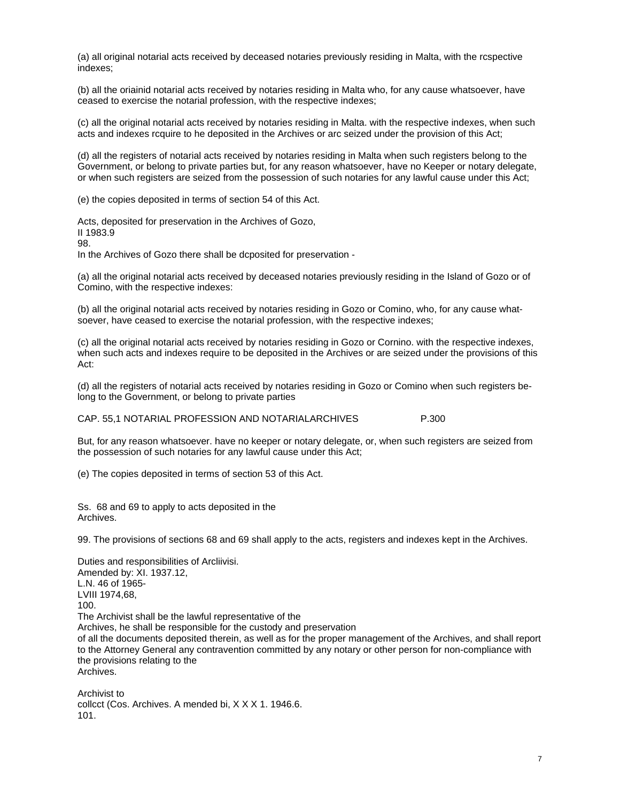(a) all original notarial acts received by deceased notaries previously residing in Malta, with the rcspective indexes;

(b) all the oriainid notarial acts received by notaries residing in Malta who, for any cause whatsoever, have ceased to exercise the notarial profession, with the respective indexes;

(c) all the original notarial acts received by notaries residing in Malta. with the respective indexes, when such acts and indexes rcquire to he deposited in the Archives or arc seized under the provision of this Act;

(d) all the registers of notarial acts received by notaries residing in Malta when such registers belong to the Government, or belong to private parties but, for any reason whatsoever, have no Keeper or notary delegate, or when such registers are seized from the possession of such notaries for any lawful cause under this Act;

(e) the copies deposited in terms of section 54 of this Act.

Acts, deposited for preservation in the Archives of Gozo, II 1983.9 98. In the Archives of Gozo there shall be dcposited for preservation -

(a) all the original notarial acts received by deceased notaries previously residing in the Island of Gozo or of Comino, with the respective indexes:

(b) all the original notarial acts received by notaries residing in Gozo or Comino, who, for any cause whatsoever, have ceased to exercise the notarial profession, with the respective indexes;

(c) all the original notarial acts received by notaries residing in Gozo or Cornino. with the respective indexes, when such acts and indexes require to be deposited in the Archives or are seized under the provisions of this Act:

(d) all the registers of notarial acts received by notaries residing in Gozo or Comino when such registers belong to the Government, or belong to private parties

CAP. 55,1 NOTARIAL PROFESSION AND NOTARIALARCHIVES P.300

But, for any reason whatsoever. have no keeper or notary delegate, or, when such registers are seized from the possession of such notaries for any lawful cause under this Act;

(e) The copies deposited in terms of section 53 of this Act.

Ss. 68 and 69 to apply to acts deposited in the Archives.

99. The provisions of sections 68 and 69 shall apply to the acts, registers and indexes kept in the Archives.

Duties and responsibilities of Arcliivisi. Amended by: XI. 1937.12, L.N. 46 of 1965- LVIII 1974,68, 100. The Archivist shall be the lawful representative of the Archives, he shall be responsible for the custody and preservation of all the documents deposited therein, as well as for the proper management of the Archives, and shall report to the Attorney General any contravention committed by any notary or other person for non-compliance with the provisions relating to the Archives.

Archivist to collcct (Cos. Archives. A mended bi, X X X 1. 1946.6. 101.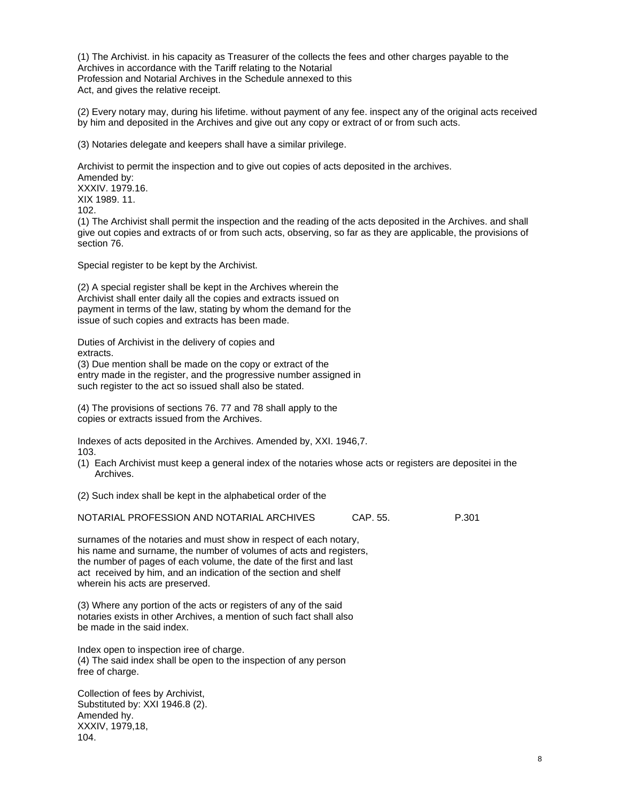(1) The Archivist. in his capacity as Treasurer of the collects the fees and other charges payable to the Archives in accordance with the Tariff relating to the Notarial Profession and Notarial Archives in the Schedule annexed to this Act, and gives the relative receipt.

(2) Every notary may, during his lifetime. without payment of any fee. inspect any of the original acts received by him and deposited in the Archives and give out any copy or extract of or from such acts.

(3) Notaries delegate and keepers shall have a similar privilege.

Archivist to permit the inspection and to give out copies of acts deposited in the archives. Amended by: XXXIV. 1979.16. XIX 1989. 11. 102.

(1) The Archivist shall permit the inspection and the reading of the acts deposited in the Archives. and shall give out copies and extracts of or from such acts, observing, so far as they are applicable, the provisions of section 76.

Special register to be kept by the Archivist.

(2) A special register shall be kept in the Archives wherein the Archivist shall enter daily all the copies and extracts issued on payment in terms of the law, stating by whom the demand for the issue of such copies and extracts has been made.

Duties of Archivist in the delivery of copies and extracts.

(3) Due mention shall be made on the copy or extract of the entry made in the register, and the progressive number assigned in such register to the act so issued shall also be stated.

(4) The provisions of sections 76. 77 and 78 shall apply to the copies or extracts issued from the Archives.

Indexes of acts deposited in the Archives. Amended by, XXI. 1946,7. 103.

(1) Each Archivist must keep a general index of the notaries whose acts or registers are depositei in the Archives.

(2) Such index shall be kept in the alphabetical order of the

NOTARIAL PROFESSION AND NOTARIAL ARCHIVES CAP. 55. P.301

surnames of the notaries and must show in respect of each notary, his name and surname, the number of volumes of acts and registers, the number of pages of each volume, the date of the first and last act received by him, and an indication of the section and shelf wherein his acts are preserved.

(3) Where any portion of the acts or registers of any of the said notaries exists in other Archives, a mention of such fact shall also be made in the said index.

Index open to inspection iree of charge. (4) The said index shall be open to the inspection of any person free of charge.

Collection of fees by Archivist, Substituted by: XXI 1946.8 (2). Amended hy. XXXIV, 1979,18, 104.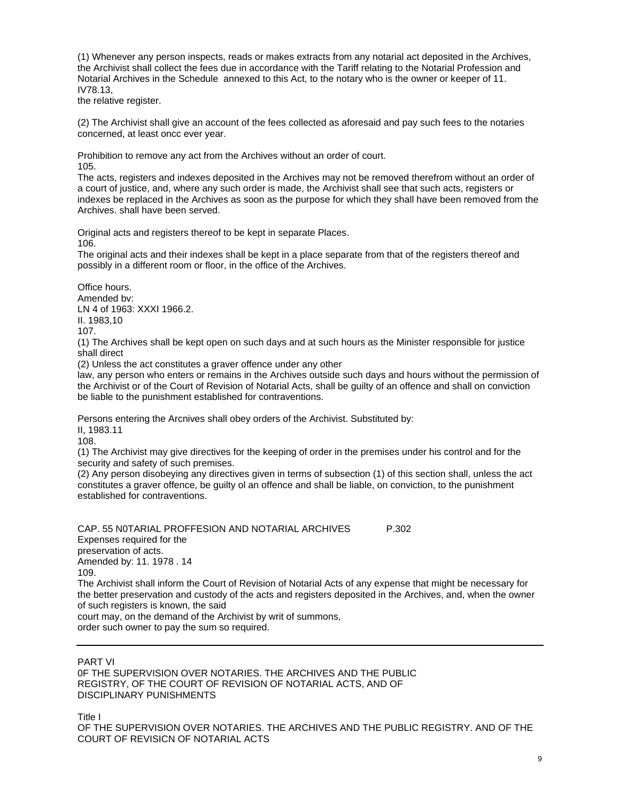(1) Whenever any person inspects, reads or makes extracts from any notarial act deposited in the Archives, the Archivist shall collect the fees due in accordance with the Tariff relating to the Notarial Profession and Notarial Archives in the Schedule annexed to this Act, to the notary who is the owner or keeper of 11. IV78.13,

the relative register.

(2) The Archivist shall give an account of the fees collected as aforesaid and pay such fees to the notaries concerned, at least oncc ever year.

Prohibition to remove any act from the Archives without an order of court. 105.

The acts, registers and indexes deposited in the Archives may not be removed therefrom without an order of a court of justice, and, where any such order is made, the Archivist shall see that such acts, registers or indexes be replaced in the Archives as soon as the purpose for which they shall have been removed from the Archives. shall have been served.

Original acts and registers thereof to be kept in separate Places. 106.

The original acts and their indexes shall be kept in a place separate from that of the registers thereof and possibly in a different room or floor, in the office of the Archives.

Office hours. Amended bv: LN 4 of 1963: XXXI 1966.2. II. 1983,10 107.

(1) The Archives shall be kept open on such days and at such hours as the Minister responsible for justice shall direct

(2) Unless the act constitutes a graver offence under any other

law, any person who enters or remains in the Archives outside such days and hours without the permission of the Archivist or of the Court of Revision of Notarial Acts, shall be guilty of an offence and shall on conviction be liable to the punishment established for contraventions.

Persons entering the Arcnives shall obey orders of the Archivist. Substituted by:

II, 1983.11

108.

(1) The Archivist may give directives for the keeping of order in the premises under his control and for the security and safety of such premises.

(2) Any person disobeying any directives given in terms of subsection (1) of this section shall, unless the act constitutes a graver offence, be guilty ol an offence and shall be liable, on conviction, to the punishment established for contraventions.

CAP. 55 N0TARIAL PROFFESION AND NOTARIAL ARCHIVES P.302 Expenses required for the preservation of acts. Amended by: 11. 1978 . 14 109. The Archivist shall inform the Court of Revision of Notarial Acts of any expense that might be necessary for the better preservation and custody of the acts and registers deposited in the Archives, and, when the owner

of such registers is known, the said

court may, on the demand of the Archivist by writ of summons,

order such owner to pay the sum so required.

PART VI 0F THE SUPERVISION OVER NOTARIES. THE ARCHIVES AND THE PUBLIC REGISTRY, OF THE COURT OF REVISION OF NOTARIAL ACTS, AND OF DISCIPLINARY PUNISHMENTS

Title I

OF THE SUPERVISION OVER NOTARIES. THE ARCHIVES AND THE PUBLIC REGISTRY. AND OF THE COURT OF REVISICN OF NOTARIAL ACTS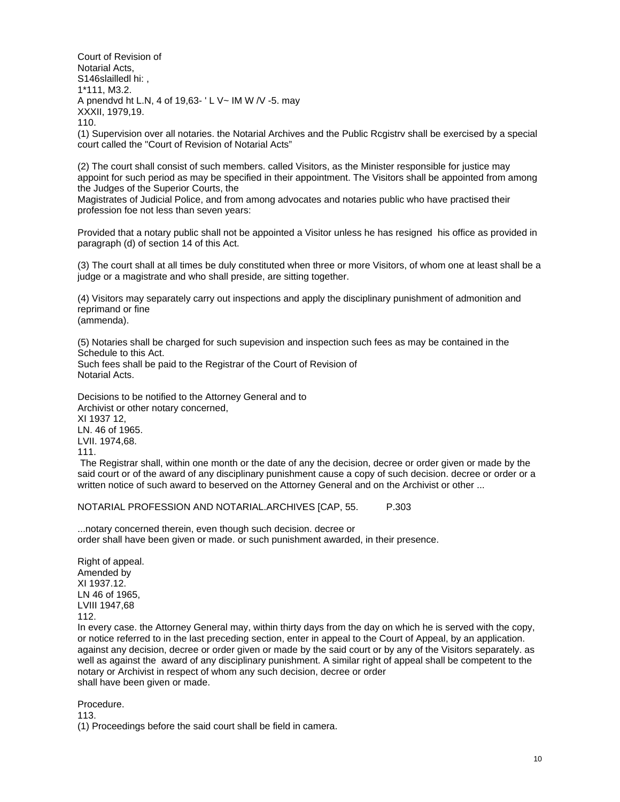Court of Revision of Notarial Acts, S146slailledl hi:, 1\*111, M3.2. A pnendvd ht L.N, 4 of 19,63- ' L V~ IM W /V -5. may XXXII, 1979,19. 110.

(1) Supervision over all notaries. the Notarial Archives and the Public Rcgistrv shall be exercised by a special court called the "Court of Revision of Notarial Acts"

(2) The court shall consist of such members. called Visitors, as the Minister responsible for justice may appoint for such period as may be specified in their appointment. The Visitors shall be appointed from among the Judges of the Superior Courts, the

Magistrates of Judicial Police, and from among advocates and notaries public who have practised their profession foe not less than seven years:

Provided that a notary public shall not be appointed a Visitor unless he has resigned his office as provided in paragraph (d) of section 14 of this Act.

(3) The court shall at all times be duly constituted when three or more Visitors, of whom one at least shall be a judge or a magistrate and who shall preside, are sitting together.

(4) Visitors may separately carry out inspections and apply the disciplinary punishment of admonition and reprimand or fine (ammenda).

(5) Notaries shall be charged for such supevision and inspection such fees as may be contained in the Schedule to this Act.

Such fees shall be paid to the Registrar of the Court of Revision of Notarial Acts.

Decisions to be notified to the Attorney General and to Archivist or other notary concerned, XI 1937 12, LN. 46 of 1965. LVII. 1974,68. 111.

 The Registrar shall, within one month or the date of any the decision, decree or order given or made by the said court or of the award of any disciplinary punishment cause a copy of such decision. decree or order or a written notice of such award to beserved on the Attorney General and on the Archivist or other ...

NOTARIAL PROFESSION AND NOTARIAL.ARCHIVES [CAP, 55. P.303

...notary concerned therein, even though such decision. decree or order shall have been given or made. or such punishment awarded, in their presence.

Right of appeal. Amended by XI 1937.12. LN 46 of 1965, LVIII 1947,68 112.

In every case. the Attorney General may, within thirty days from the day on which he is served with the copy, or notice referred to in the last preceding section, enter in appeal to the Court of Appeal, by an application. against any decision, decree or order given or made by the said court or by any of the Visitors separately. as well as against the award of any disciplinary punishment. A similar right of appeal shall be competent to the notary or Archivist in respect of whom any such decision, decree or order shall have been given or made.

Procedure.

113.

(1) Proceedings before the said court shall be field in camera.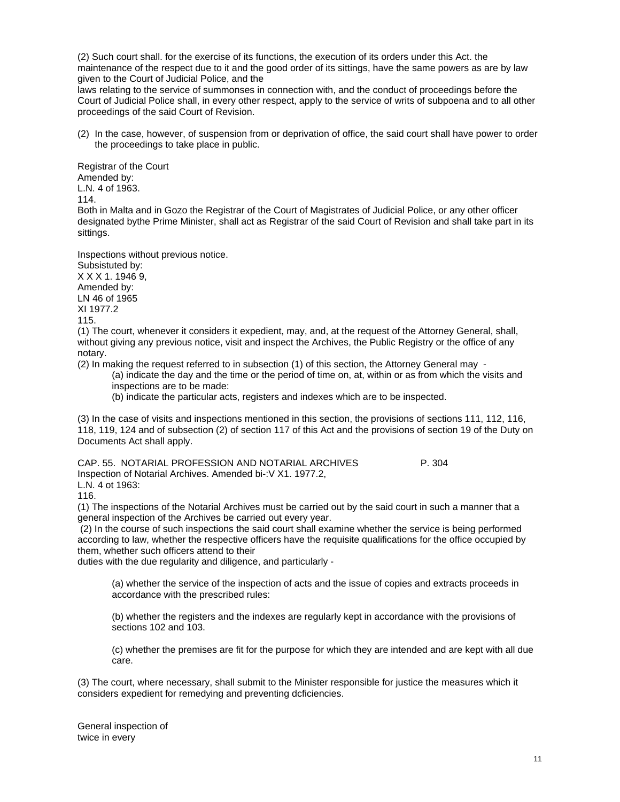(2) Such court shall. for the exercise of its functions, the execution of its orders under this Act. the maintenance of the respect due to it and the good order of its sittings, have the same powers as are by law given to the Court of Judicial Police, and the

laws relating to the service of summonses in connection with, and the conduct of proceedings before the Court of Judicial Police shall, in every other respect, apply to the service of writs of subpoena and to all other proceedings of the said Court of Revision.

(2) In the case, however, of suspension from or deprivation of office, the said court shall have power to order the proceedings to take place in public.

Registrar of the Court Amended by: L.N. 4 of 1963. 114. Both in Malta and in Gozo the Registrar of the Court of Magistrates of Judicial Police, or any other officer designated bythe Prime Minister, shall act as Registrar of the said Court of Revision and shall take part in its sittings.

Inspections without previous notice.

Subsistuted by: X X X 1. 1946 9, Amended by: LN 46 of 1965 XI 1977.2 115.

(1) The court, whenever it considers it expedient, may, and, at the request of the Attorney General, shall, without giving any previous notice, visit and inspect the Archives, the Public Registry or the office of any notary.

(2) In making the request referred to in subsection (1) of this section, the Attorney General may -

(a) indicate the day and the time or the period of time on, at, within or as from which the visits and inspections are to be made:

(b) indicate the particular acts, registers and indexes which are to be inspected.

(3) In the case of visits and inspections mentioned in this section, the provisions of sections 111, 112, 116, 118, 119, 124 and of subsection (2) of section 117 of this Act and the provisions of section 19 of the Duty on Documents Act shall apply.

CAP. 55. NOTARIAL PROFESSION AND NOTARIAL ARCHIVES P. 304 Inspection of Notarial Archives. Amended bi-:V X1. 1977.2, L.N. 4 ot 1963:

116.

(1) The inspections of the Notarial Archives must be carried out by the said court in such a manner that a general inspection of the Archives be carried out every year.

 (2) In the course of such inspections the said court shall examine whether the service is being performed according to law, whether the respective officers have the requisite qualifications for the office occupied by them, whether such officers attend to their

duties with the due regularity and diligence, and particularly -

(a) whether the service of the inspection of acts and the issue of copies and extracts proceeds in accordance with the prescribed rules:

(b) whether the registers and the indexes are regularly kept in accordance with the provisions of sections 102 and 103.

(c) whether the premises are fit for the purpose for which they are intended and are kept with all due care.

(3) The court, where necessary, shall submit to the Minister responsible for justice the measures which it considers expedient for remedying and preventing dcficiencies.

General inspection of twice in every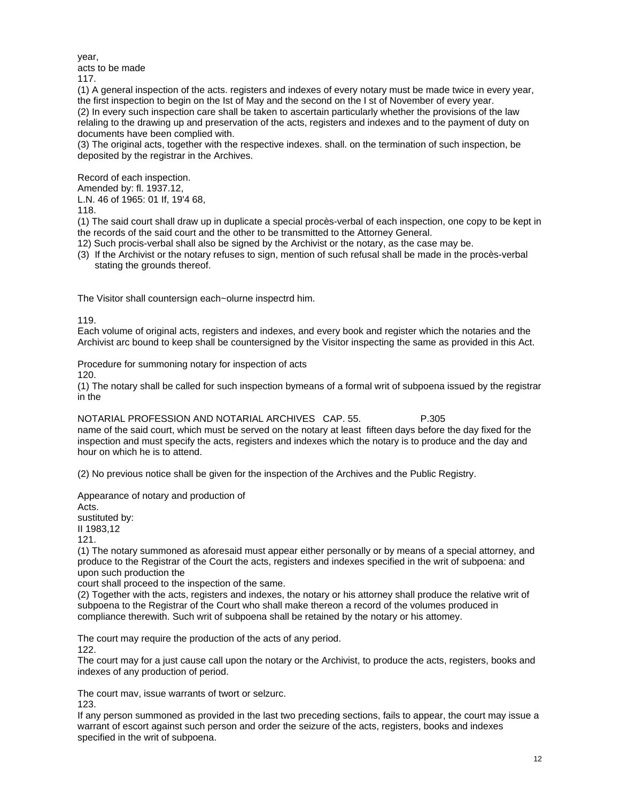year,

acts to be made

117.

(1) A general inspection of the acts. registers and indexes of every notary must be made twice in every year, the first inspection to begin on the Ist of May and the second on the I st of November of every year. (2) In every such inspection care shall be taken to ascertain particularly whether the provisions of the law relaling to the drawing up and preservation of the acts, registers and indexes and to the payment of duty on documents have been complied with.

(3) The original acts, together with the respective indexes. shall. on the termination of such inspection, be deposited by the registrar in the Archives.

Record of each inspection.

Amended by: fl. 1937.12,

L.N. 46 of 1965: 01 If, 19'4 68,

118.

(1) The said court shall draw up in duplicate a special procès-verbal of each inspection, one copy to be kept in the records of the said court and the other to be transmitted to the Attorney General.

12) Such procis-verbal shall also be signed by the Archivist or the notary, as the case may be.

(3) If the Archivist or the notary refuses to sign, mention of such refusal shall be made in the procès-verbal stating the grounds thereof.

The Visitor shall countersign each~olurne inspectrd him.

119.

Each volume of original acts, registers and indexes, and every book and register which the notaries and the Archivist arc bound to keep shall be countersigned by the Visitor inspecting the same as provided in this Act.

Procedure for summoning notary for inspection of acts

120.

(1) The notary shall be called for such inspection bymeans of a formal writ of subpoena issued by the registrar in the

NOTARIAL PROFESSION AND NOTARIAL ARCHIVES CAP. 55. P.305 name of the said court, which must be served on the notary at least fifteen days before the day fixed for the inspection and must specify the acts, registers and indexes which the notary is to produce and the day and hour on which he is to attend.

(2) No previous notice shall be given for the inspection of the Archives and the Public Registry.

Appearance of notary and production of

Acts.

sustituted by:

II 1983,12

121.

(1) The notary summoned as aforesaid must appear either personally or by means of a special attorney, and produce to the Registrar of the Court the acts, registers and indexes specified in the writ of subpoena: and upon such production the

court shall proceed to the inspection of the same.

(2) Together with the acts, registers and indexes, the notary or his attorney shall produce the relative writ of subpoena to the Registrar of the Court who shall make thereon a record of the volumes produced in compliance therewith. Such writ of subpoena shall be retained by the notary or his attomey.

The court may require the production of the acts of any period.

122.

The court may for a just cause call upon the notary or the Archivist, to produce the acts, registers, books and indexes of any production of period.

The court mav, issue warrants of twort or selzurc. 123.

If any person summoned as provided in the last two preceding sections, fails to appear, the court may issue a warrant of escort against such person and order the seizure of the acts, registers, books and indexes specified in the writ of subpoena.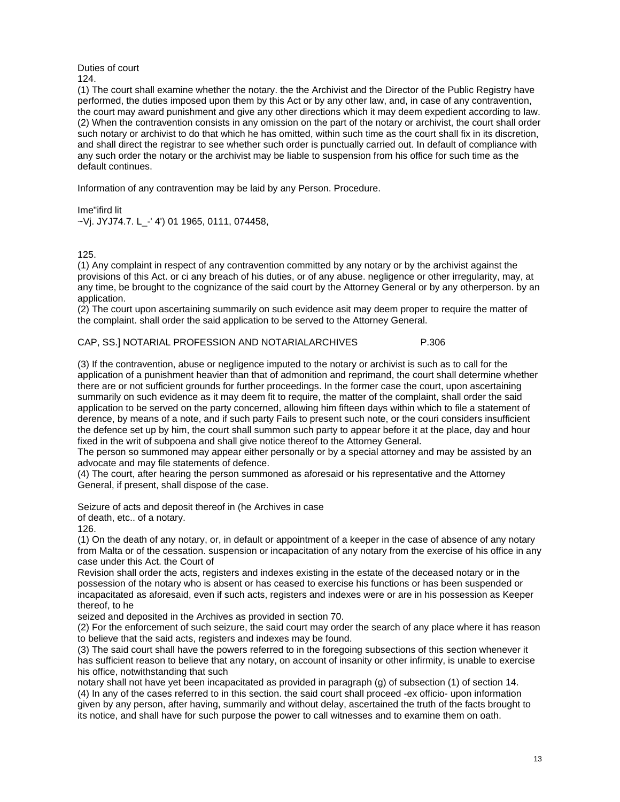#### Duties of court 124.

(1) The court shall examine whether the notary. the the Archivist and the Director of the Public Registry have performed, the duties imposed upon them by this Act or by any other law, and, in case of any contravention, the court may award punishment and give any other directions which it may deem expedient according to law. (2) When the contravention consists in any omission on the part of the notary or archivist, the court shall order such notary or archivist to do that which he has omitted, within such time as the court shall fix in its discretion, and shall direct the registrar to see whether such order is punctually carried out. In default of compliance with any such order the notary or the archivist may be liable to suspension from his office for such time as the default continues.

Information of any contravention may be laid by any Person. Procedure.

Ime"ifird lit ~Vj. JYJ74.7. L\_-' 4') 01 1965, 0111, 074458,

125.

(1) Any complaint in respect of any contravention committed by any notary or by the archivist against the provisions of this Act. or ci any breach of his duties, or of any abuse. negligence or other irregularity, may, at any time, be brought to the cognizance of the said court by the Attorney General or by any otherperson. by an application.

(2) The court upon ascertaining summarily on such evidence asit may deem proper to require the matter of the complaint. shall order the said application to be served to the Attorney General.

## CAP, SS.] NOTARIAL PROFESSION AND NOTARIALARCHIVES P.306

(3) If the contravention, abuse or negligence imputed to the notary or archivist is such as to call for the application of a punishment heavier than that of admonition and reprimand, the court shall determine whether there are or not sufficient grounds for further proceedings. In the former case the court, upon ascertaining summarily on such evidence as it may deem fit to require, the matter of the complaint, shall order the said application to be served on the party concerned, allowing him fifteen days within which to file a statement of derence, by means of a note, and if such party Fails to present such note, or the couri considers insufficient the defence set up by him, the court shall summon such party to appear before it at the place, day and hour fixed in the writ of subpoena and shall give notice thereof to the Attorney General.

The person so summoned may appear either personally or by a special attorney and may be assisted by an advocate and may file statements of defence.

(4) The court, after hearing the person summoned as aforesaid or his representative and the Attorney General, if present, shall dispose of the case.

Seizure of acts and deposit thereof in (he Archives in case

of death, etc.. of a notary.

126.

(1) On the death of any notary, or, in default or appointment of a keeper in the case of absence of any notary from Malta or of the cessation. suspension or incapacitation of any notary from the exercise of his office in any case under this Act. the Court of

Revision shall order the acts, registers and indexes existing in the estate of the deceased notary or in the possession of the notary who is absent or has ceased to exercise his functions or has been suspended or incapacitated as aforesaid, even if such acts, registers and indexes were or are in his possession as Keeper thereof, to he

seized and deposited in the Archives as provided in section 70.

(2) For the enforcement of such seizure, the said court may order the search of any place where it has reason to believe that the said acts, registers and indexes may be found.

(3) The said court shall have the powers referred to in the foregoing subsections of this section whenever it has sufficient reason to believe that any notary, on account of insanity or other infirmity, is unable to exercise his office, notwithstanding that such

notary shall not have yet been incapacitated as provided in paragraph (g) of subsection (1) of section 14. (4) In any of the cases referred to in this section. the said court shall proceed -ex officio- upon information given by any person, after having, summarily and without delay, ascertained the truth of the facts brought to its notice, and shall have for such purpose the power to call witnesses and to examine them on oath.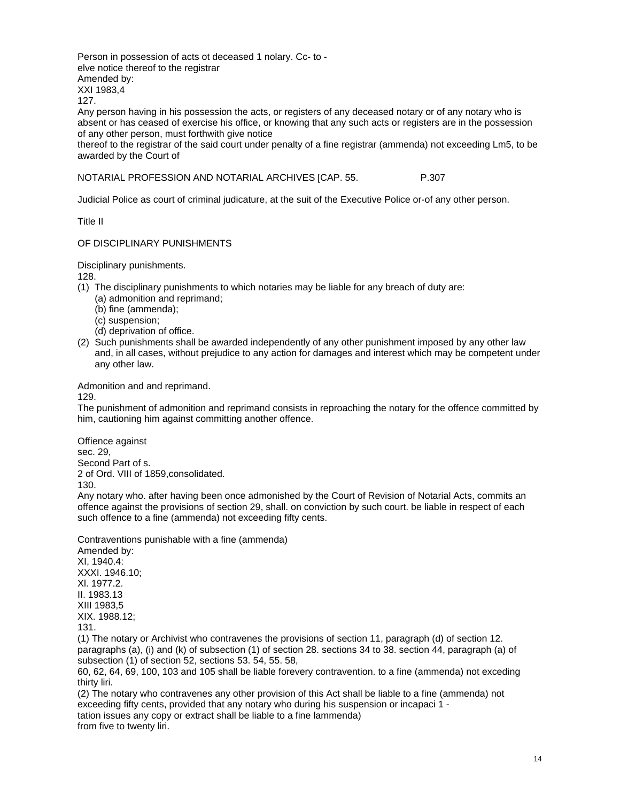Person in possession of acts ot deceased 1 nolary. Cc- to elve notice thereof to the registrar Amended by: XXI 1983,4

127.

Any person having in his possession the acts, or registers of any deceased notary or of any notary who is absent or has ceased of exercise his office, or knowing that any such acts or registers are in the possession of any other person, must forthwith give notice

thereof to the registrar of the said court under penalty of a fine registrar (ammenda) not exceeding Lm5, to be awarded by the Court of

NOTARIAL PROFESSION AND NOTARIAL ARCHIVES [CAP. 55. P.307

Judicial Police as court of criminal judicature, at the suit of the Executive Police or-of any other person.

Title II

## OF DISCIPLINARY PUNISHMENTS

Disciplinary punishments.

128.

- (1) The disciplinary punishments to which notaries may be liable for any breach of duty are:
	- (a) admonition and reprimand;
	- (b) fine (ammenda);
	- (c) suspension;
	- (d) deprivation of office.
- (2) Such punishments shall be awarded independently of any other punishment imposed by any other law and, in all cases, without prejudice to any action for damages and interest which may be competent under any other law.

Admonition and and reprimand.

129.

The punishment of admonition and reprimand consists in reproaching the notary for the offence committed by him, cautioning him against committing another offence.

Offience against sec. 29, Second Part of s. 2 of Ord. VIII of 1859,consolidated. 130.

Any notary who. after having been once admonished by the Court of Revision of Notarial Acts, commits an offence against the provisions of section 29, shall. on conviction by such court. be liable in respect of each such offence to a fine (ammenda) not exceeding fifty cents.

Contraventions punishable with a fine (ammenda)

Amended by: XI, 1940.4: XXXI. 1946.10; Xl. 1977.2. II. 1983.13 XIII 1983,5 XIX. 1988.12; 131.

(1) The notary or Archivist who contravenes the provisions of section 11, paragraph (d) of section 12. paragraphs (a), (i) and (k) of subsection (1) of section 28. sections 34 to 38. section 44, paragraph (a) of subsection (1) of section 52, sections 53. 54, 55. 58,

60, 62, 64, 69, 100, 103 and 105 shall be liable forevery contravention. to a fine (ammenda) not exceding thirty liri.

(2) The notary who contravenes any other provision of this Act shall be liable to a fine (ammenda) not exceeding fifty cents, provided that any notary who during his suspension or incapaci 1 tation issues any copy or extract shall be liable to a fine lammenda)

from five to twenty liri.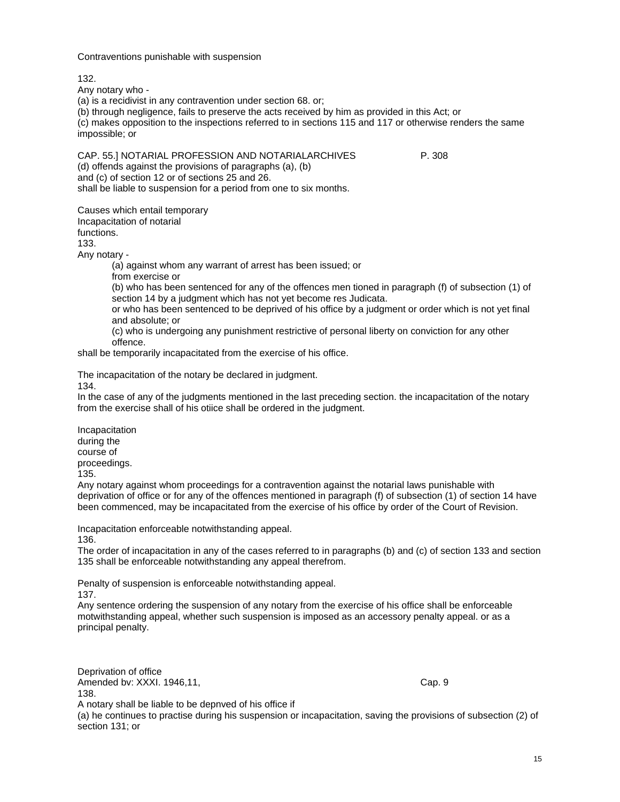Contraventions punishable with suspension

132.

Any notary who -

(a) is a recidivist in any contravention under section 68. or;

(b) through negligence, fails to preserve the acts received by him as provided in this Act; or (c) makes opposition to the inspections referred to in sections 115 and 117 or otherwise renders the same impossible; or

CAP. 55.] NOTARIAL PROFESSION AND NOTARIALARCHIVES P. 308 (d) offends against the provisions of paragraphs (a), (b) and (c) of section 12 or of sections 25 and 26. shall be liable to suspension for a period from one to six months.

Causes which entail temporary Incapacitation of notarial functions.

133.

Any notary -

(a) against whom any warrant of arrest has been issued; or

from exercise or

(b) who has been sentenced for any of the offences men tioned in paragraph (f) of subsection (1) of section 14 by a judgment which has not yet become res Judicata.

or who has been sentenced to be deprived of his office by a judgment or order which is not yet final and absolute; or

(c) who is undergoing any punishment restrictive of personal liberty on conviction for any other offence.

shall be temporarily incapacitated from the exercise of his office.

The incapacitation of the notary be declared in judgment. 134.

In the case of any of the judgments mentioned in the last preceding section. the incapacitation of the notary from the exercise shall of his otiice shall be ordered in the judgment.

Incapacitation during the course of proceedings. 135.

Any notary against whom proceedings for a contravention against the notarial laws punishable with deprivation of office or for any of the offences mentioned in paragraph (f) of subsection (1) of section 14 have been commenced, may be incapacitated from the exercise of his office by order of the Court of Revision.

Incapacitation enforceable notwithstanding appeal. 136.

The order of incapacitation in any of the cases referred to in paragraphs (b) and (c) of section 133 and section 135 shall be enforceable notwithstanding any appeal therefrom.

Penalty of suspension is enforceable notwithstanding appeal.

137.

Any sentence ordering the suspension of any notary from the exercise of his office shall be enforceable motwithstanding appeal, whether such suspension is imposed as an accessory penalty appeal. or as a principal penalty.

Deprivation of office Amended bv: XXXI. 1946,11, Cap. 9 138.

A notary shall be liable to be depnved of his office if

(a) he continues to practise during his suspension or incapacitation, saving the provisions of subsection (2) of section 131; or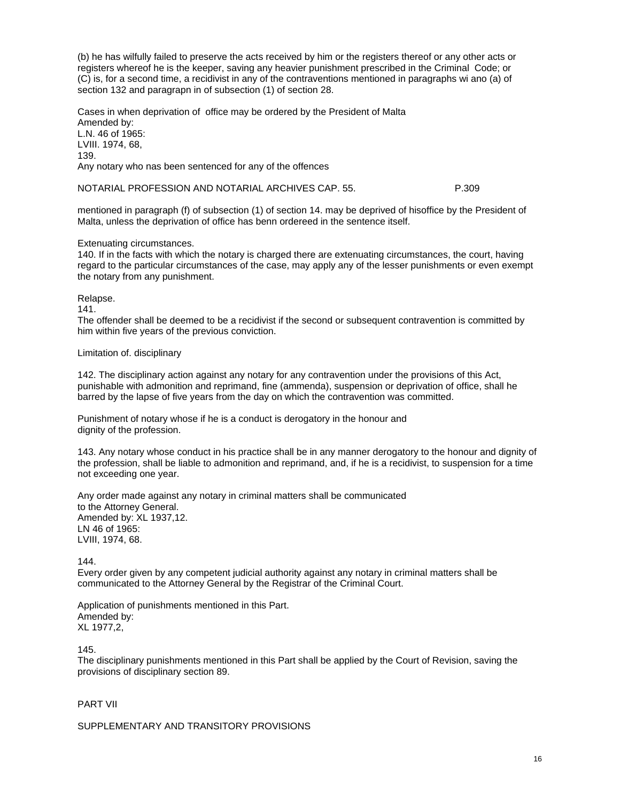(b) he has wilfully failed to preserve the acts received by him or the registers thereof or any other acts or registers whereof he is the keeper, saving any heavier punishment prescribed in the Criminal Code; or (C) is, for a second time, a recidivist in any of the contraventions mentioned in paragraphs wi ano (a) of section 132 and paragrapn in of subsection (1) of section 28.

Cases in when deprivation of office may be ordered by the President of Malta Amended by: L.N. 46 of 1965: LVIII. 1974, 68, 139. Any notary who nas been sentenced for any of the offences

NOTARIAL PROFESSION AND NOTARIAL ARCHIVES CAP. 55. P.309

mentioned in paragraph (f) of subsection (1) of section 14. may be deprived of hisoffice by the President of Malta, unless the deprivation of office has benn ordereed in the sentence itself.

## Extenuating circumstances.

140. If in the facts with which the notary is charged there are extenuating circumstances, the court, having regard to the particular circumstances of the case, may apply any of the lesser punishments or even exempt the notary from any punishment.

Relapse.

141.

The offender shall be deemed to be a recidivist if the second or subsequent contravention is committed by him within five years of the previous conviction.

Limitation of. disciplinary

142. The disciplinary action against any notary for any contravention under the provisions of this Act, punishable with admonition and reprimand, fine (ammenda), suspension or deprivation of office, shall he barred by the lapse of five years from the day on which the contravention was committed.

Punishment of notary whose if he is a conduct is derogatory in the honour and dignity of the profession.

143. Any notary whose conduct in his practice shall be in any manner derogatory to the honour and dignity of the profession, shall be liable to admonition and reprimand, and, if he is a recidivist, to suspension for a time not exceeding one year.

Any order made against any notary in criminal matters shall be communicated to the Attorney General. Amended by: XL 1937,12. LN 46 of 1965: LVIII, 1974, 68.

144.

Every order given by any competent judicial authority against any notary in criminal matters shall be communicated to the Attorney General by the Registrar of the Criminal Court.

Application of punishments mentioned in this Part. Amended by: XL 1977,2,

145.

The disciplinary punishments mentioned in this Part shall be applied by the Court of Revision, saving the provisions of disciplinary section 89.

# PART VII

SUPPLEMENTARY AND TRANSITORY PROVISIONS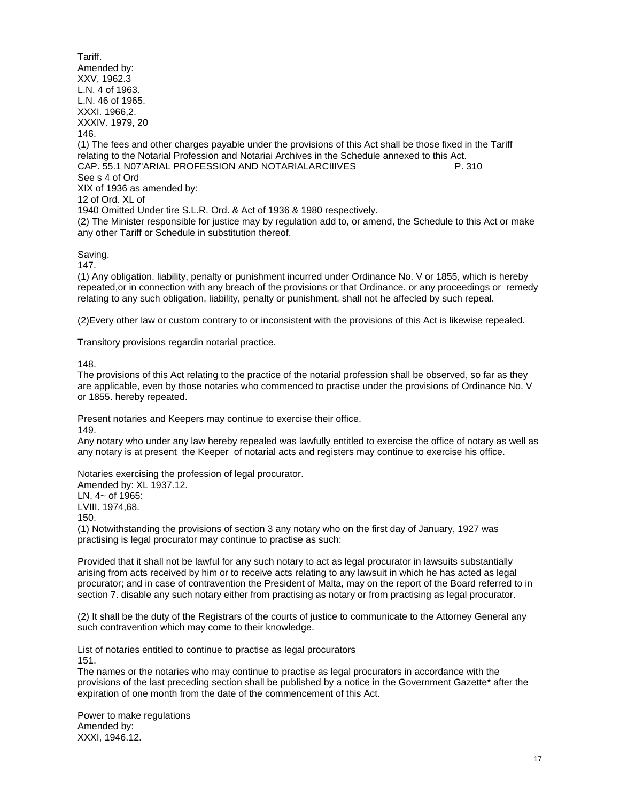Tariff. Amended by: XXV, 1962.3 L.N. 4 of 1963. L.N. 46 of 1965. XXXI. 1966,2. XXXIV. 1979, 20 146. (1) The fees and other charges payable under the provisions of this Act shall be those fixed in the Tariff relating to the Notarial Profession and Notariai Archives in the Schedule annexed to this Act. CAP. 55.1 N07'ARIAL PROFESSION AND NOTARIALARCIIIVES P. 310 See s 4 of Ord XIX of 1936 as amended by: 12 of Ord. XL of 1940 Omitted Under tire S.L.R. Ord. & Act of 1936 & 1980 respectively. (2) The Minister responsible for justice may by regulation add to, or amend, the Schedule to this Act or make any other Tariff or Schedule in substitution thereof.

## Saving.

147.

(1) Any obligation. liability, penalty or punishment incurred under Ordinance No. V or 1855, which is hereby repeated,or in connection with any breach of the provisions or that Ordinance. or any proceedings or remedy relating to any such obligation, liability, penalty or punishment, shall not he affecled by such repeal.

(2)Every other law or custom contrary to or inconsistent with the provisions of this Act is likewise repealed.

Transitory provisions regardin notarial practice.

148.

The provisions of this Act relating to the practice of the notarial profession shall be observed, so far as they are applicable, even by those notaries who commenced to practise under the provisions of Ordinance No. V or 1855. hereby repeated.

Present notaries and Keepers may continue to exercise their office.

149.

Any notary who under any law hereby repealed was lawfully entitled to exercise the office of notary as well as any notary is at present the Keeper of notarial acts and registers may continue to exercise his office.

Notaries exercising the profession of legal procurator.

Amended by: XL 1937.12. LN, 4~ of 1965: LVIII. 1974,68.

150.

(1) Notwithstanding the provisions of section 3 any notary who on the first day of January, 1927 was practising is legal procurator may continue to practise as such:

Provided that it shall not be lawful for any such notary to act as legal procurator in lawsuits substantially arising from acts received by him or to receive acts relating to any lawsuit in which he has acted as legal procurator; and in case of contravention the President of Malta, may on the report of the Board referred to in section 7. disable any such notary either from practising as notary or from practising as legal procurator.

(2) It shall be the duty of the Registrars of the courts of justice to communicate to the Attorney General any such contravention which may come to their knowledge.

List of notaries entitled to continue to practise as legal procurators 151.

The names or the notaries who may continue to practise as legal procurators in accordance with the provisions of the last preceding section shall be published by a notice in the Government Gazette\* after the expiration of one month from the date of the commencement of this Act.

Power to make regulations Amended by: XXXI, 1946.12.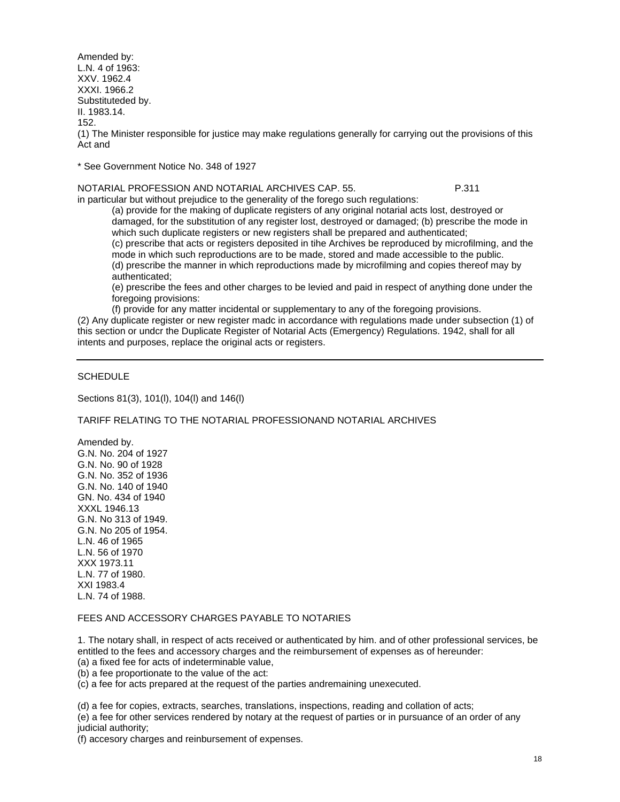Amended by: L.N. 4 of 1963: XXV. 1962.4 XXXI. 1966.2 Substituteded by. II. 1983.14. 152. (1) The Minister responsible for justice may make regulations generally for carrying out the provisions of this Act and

\* See Government Notice No. 348 of 1927

NOTARIAL PROFESSION AND NOTARIAL ARCHIVES CAP. 55. P.311 in particular but without prejudice to the generality of the forego such regulations:

(a) provide for the making of duplicate registers of any original notarial acts lost, destroyed or damaged, for the substitution of any register lost, destroyed or damaged; (b) prescribe the mode in which such duplicate registers or new registers shall be prepared and authenticated;

(c) prescribe that acts or registers deposited in tihe Archives be reproduced by microfilming, and the mode in which such reproductions are to be made, stored and made accessible to the public.

(d) prescribe the manner in which reproductions made by microfilming and copies thereof may by authenticated;

(e) prescribe the fees and other charges to be levied and paid in respect of anything done under the foregoing provisions:

(f) provide for any matter incidental or supplementary to any of the foregoing provisions.

(2) Any duplicate register or new register madc in accordance with regulations made under subsection (1) of this section or undcr the Duplicate Register of Notarial Acts (Emergency) Regulations. 1942, shall for all intents and purposes, replace the original acts or registers.

# **SCHEDULE**

Sections 81(3), 101(l), 104(l) and 146(l)

TARIFF RELATING TO THE NOTARIAL PROFESSIONAND NOTARIAL ARCHIVES

Amended by. G.N. No. 204 of 1927 G.N. No. 90 of 1928 G.N. No. 352 of 1936 G.N. No. 140 of 1940 GN. No. 434 of 1940 XXXL 1946.13 G.N. No 313 of 1949. G.N. No 205 of 1954. L.N. 46 of 1965 L.N. 56 of 1970 XXX 1973.11 L.N. 77 of 1980. XXI 1983.4 L.N. 74 of 1988.

# FEES AND ACCESSORY CHARGES PAYABLE TO NOTARIES

1. The notary shall, in respect of acts received or authenticated by him. and of other professional services, be entitled to the fees and accessory charges and the reimbursement of expenses as of hereunder: (a) a fixed fee for acts of indeterminable value,

(b) a fee proportionate to the value of the act:

(c) a fee for acts prepared at the request of the parties andremaining unexecuted.

(d) a fee for copies, extracts, searches, translations, inspections, reading and collation of acts;

(e) a fee for other services rendered by notary at the request of parties or in pursuance of an order of any judicial authority;

(f) accesory charges and reinbursement of expenses.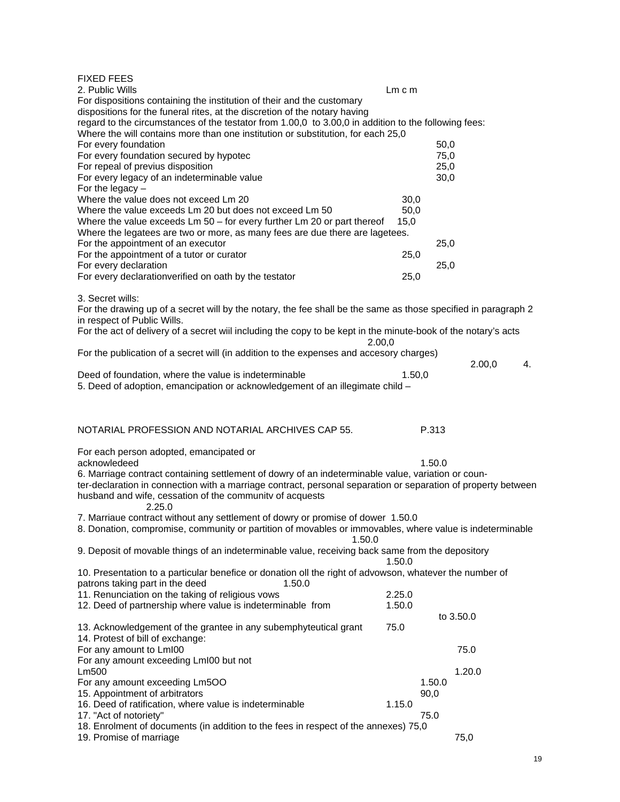FIXED FEES

|                                                                                                                                    | $Lm$ c $m$       |        |           |    |
|------------------------------------------------------------------------------------------------------------------------------------|------------------|--------|-----------|----|
| For dispositions containing the institution of their and the customary                                                             |                  |        |           |    |
| dispositions for the funeral rites, at the discretion of the notary having                                                         |                  |        |           |    |
| regard to the circumstances of the testator from 1.00,0 to 3.00,0 in addition to the following fees:                               |                  |        |           |    |
| Where the will contains more than one institution or substitution, for each 25,0                                                   |                  |        |           |    |
| For every foundation                                                                                                               |                  | 50,0   |           |    |
| For every foundation secured by hypotec                                                                                            |                  | 75,0   |           |    |
| For repeal of previus disposition                                                                                                  |                  | 25,0   |           |    |
| For every legacy of an indeterminable value<br>For the legacy $-$                                                                  |                  | 30,0   |           |    |
| Where the value does not exceed Lm 20                                                                                              | 30,0             |        |           |    |
| Where the value exceeds Lm 20 but does not exceed Lm 50                                                                            | 50,0             |        |           |    |
| Where the value exceeds Lm 50 - for every further Lm 20 or part thereof                                                            | 15,0             |        |           |    |
| Where the legatees are two or more, as many fees are due there are lagetees.                                                       |                  |        |           |    |
| For the appointment of an executor                                                                                                 |                  | 25,0   |           |    |
| For the appointment of a tutor or curator                                                                                          | 25,0             |        |           |    |
| For every declaration                                                                                                              |                  | 25,0   |           |    |
| For every declarationverified on oath by the testator                                                                              | 25,0             |        |           |    |
|                                                                                                                                    |                  |        |           |    |
| 3. Secret wills:<br>For the drawing up of a secret will by the notary, the fee shall be the same as those specified in paragraph 2 |                  |        |           |    |
| in respect of Public Wills.                                                                                                        |                  |        |           |    |
| For the act of delivery of a secret wiil including the copy to be kept in the minute-book of the notary's acts                     |                  |        |           |    |
| 2.00,0                                                                                                                             |                  |        |           |    |
| For the publication of a secret will (in addition to the expenses and accesory charges)                                            |                  |        |           |    |
|                                                                                                                                    |                  |        | 2.00,0    | 4. |
| Deed of foundation, where the value is indeterminable                                                                              | 1.50,0           |        |           |    |
| 5. Deed of adoption, emancipation or acknowledgement of an illegimate child -                                                      |                  |        |           |    |
|                                                                                                                                    |                  |        |           |    |
|                                                                                                                                    |                  |        |           |    |
| NOTARIAL PROFESSION AND NOTARIAL ARCHIVES CAP 55.                                                                                  |                  | P.313  |           |    |
|                                                                                                                                    |                  |        |           |    |
|                                                                                                                                    |                  |        |           |    |
|                                                                                                                                    |                  |        |           |    |
| For each person adopted, emancipated or<br>acknowledeed                                                                            |                  | 1.50.0 |           |    |
| 6. Marriage contract containing settlement of dowry of an indeterminable value, variation or coun-                                 |                  |        |           |    |
| ter-declaration in connection with a marriage contract, personal separation or separation of property between                      |                  |        |           |    |
| husband and wife, cessation of the community of acquests                                                                           |                  |        |           |    |
| 2.25.0                                                                                                                             |                  |        |           |    |
| 7. Marriaue contract without any settlement of dowry or promise of dower 1.50.0                                                    |                  |        |           |    |
| 8. Donation, compromise, community or partition of movables or immovables, where value is indeterminable                           |                  |        |           |    |
| 1.50.0                                                                                                                             |                  |        |           |    |
| 9. Deposit of movable things of an indeterminable value, receiving back same from the depository                                   |                  |        |           |    |
|                                                                                                                                    | 1.50.0           |        |           |    |
| 10. Presentation to a particular benefice or donation oll the right of advowson, whatever the number of                            |                  |        |           |    |
| patrons taking part in the deed<br>1.50.0                                                                                          |                  |        |           |    |
| 11. Renunciation on the taking of religious vows<br>12. Deed of partnership where value is indeterminable from                     | 2.25.0<br>1.50.0 |        |           |    |
|                                                                                                                                    |                  |        | to 3.50.0 |    |
| 13. Acknowledgement of the grantee in any subemphyteutical grant                                                                   | 75.0             |        |           |    |
| 14. Protest of bill of exchange:                                                                                                   |                  |        |           |    |
| For any amount to LmI00                                                                                                            |                  |        | 75.0      |    |
| For any amount exceeding LmI00 but not                                                                                             |                  |        |           |    |
| Lm500                                                                                                                              |                  |        | 1.20.0    |    |
| For any amount exceeding Lm5OO                                                                                                     |                  | 1.50.0 |           |    |
| 15. Appointment of arbitrators                                                                                                     |                  | 90,0   |           |    |
| 16. Deed of ratification, where value is indeterminable                                                                            | 1.15.0           |        |           |    |
| 17. "Act of notoriety"<br>18. Enrolment of documents (in addition to the fees in respect of the annexes) 75,0                      |                  | 75.0   |           |    |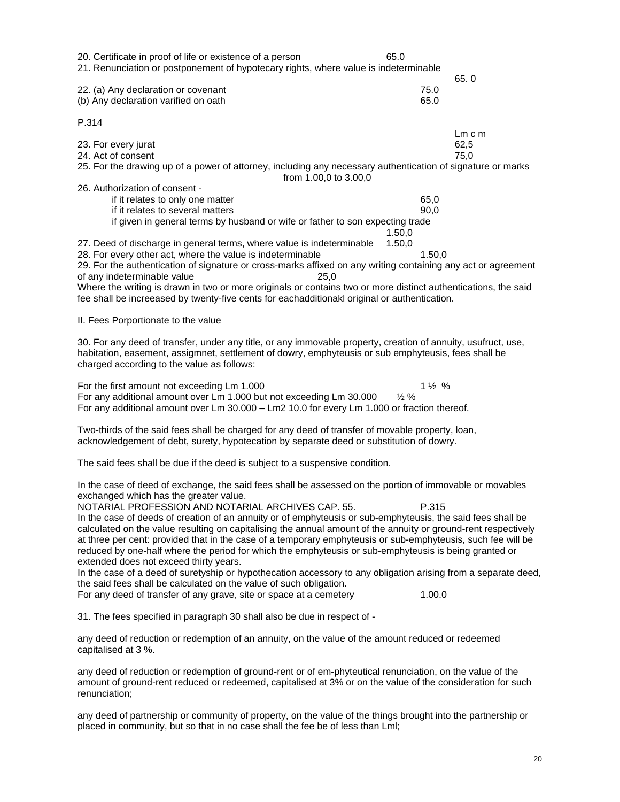| 20. Certificate in proof of life or existence of a person<br>21. Renunciation or postponement of hypotecary rights, where value is indeterminable                                                                                                                                                                                                                                                                                                                                                                                                                                                                                                                                                            | 65.0                                |                            |
|--------------------------------------------------------------------------------------------------------------------------------------------------------------------------------------------------------------------------------------------------------------------------------------------------------------------------------------------------------------------------------------------------------------------------------------------------------------------------------------------------------------------------------------------------------------------------------------------------------------------------------------------------------------------------------------------------------------|-------------------------------------|----------------------------|
| 22. (a) Any declaration or covenant<br>(b) Any declaration varified on oath                                                                                                                                                                                                                                                                                                                                                                                                                                                                                                                                                                                                                                  | 75.0<br>65.0                        | 65.0                       |
| P.314                                                                                                                                                                                                                                                                                                                                                                                                                                                                                                                                                                                                                                                                                                        |                                     |                            |
| 23. For every jurat<br>24. Act of consent<br>25. For the drawing up of a power of attorney, including any necessary authentication of signature or marks                                                                                                                                                                                                                                                                                                                                                                                                                                                                                                                                                     |                                     | $Lm$ c $m$<br>62,5<br>75,0 |
| from 1.00,0 to 3.00,0<br>26. Authorization of consent -<br>if it relates to only one matter<br>if it relates to several matters<br>if given in general terms by husband or wife or father to son expecting trade                                                                                                                                                                                                                                                                                                                                                                                                                                                                                             | 65,0<br>90,0                        |                            |
| 27. Deed of discharge in general terms, where value is indeterminable<br>28. For every other act, where the value is indeterminable<br>29. For the authentication of signature or cross-marks affixed on any writing containing any act or agreement<br>of any indeterminable value<br>25,0<br>Where the writing is drawn in two or more originals or contains two or more distinct authentications, the said<br>fee shall be increeased by twenty-five cents for eachadditionakl original or authentication.                                                                                                                                                                                                | 1.50,0<br>1.50,0<br>1.50,0          |                            |
| II. Fees Porportionate to the value                                                                                                                                                                                                                                                                                                                                                                                                                                                                                                                                                                                                                                                                          |                                     |                            |
| 30. For any deed of transfer, under any title, or any immovable property, creation of annuity, usufruct, use,<br>habitation, easement, assigmnet, settlement of dowry, emphyteusis or sub emphyteusis, fees shall be<br>charged according to the value as follows:                                                                                                                                                                                                                                                                                                                                                                                                                                           |                                     |                            |
| For the first amount not exceeding Lm 1.000<br>For any additional amount over Lm 1.000 but not exceeding Lm 30.000<br>For any additional amount over Lm 30.000 - Lm2 10.0 for every Lm 1.000 or fraction thereof.                                                                                                                                                                                                                                                                                                                                                                                                                                                                                            | $1\frac{1}{2}$ %<br>$\frac{1}{2}$ % |                            |
| Two-thirds of the said fees shall be charged for any deed of transfer of movable property, loan,<br>acknowledgement of debt, surety, hypotecation by separate deed or substitution of dowry.                                                                                                                                                                                                                                                                                                                                                                                                                                                                                                                 |                                     |                            |
| The said fees shall be due if the deed is subject to a suspensive condition.                                                                                                                                                                                                                                                                                                                                                                                                                                                                                                                                                                                                                                 |                                     |                            |
| In the case of deed of exchange, the said fees shall be assessed on the portion of immovable or movables<br>exchanged which has the greater value.<br>NOTARIAL PROFESSION AND NOTARIAL ARCHIVES CAP. 55.<br>In the case of deeds of creation of an annuity or of emphyteusis or sub-emphyteusis, the said fees shall be<br>calculated on the value resulting on capitalising the annual amount of the annuity or ground-rent respectively<br>at three per cent: provided that in the case of a temporary emphyteusis or sub-emphyteusis, such fee will be<br>reduced by one-half where the period for which the emphyteusis or sub-emphyteusis is being granted or<br>extended does not exceed thirty years. | P.315                               |                            |
| In the case of a deed of suretyship or hypothecation accessory to any obligation arising from a separate deed,<br>the said fees shall be calculated on the value of such obligation.<br>For any deed of transfer of any grave, site or space at a cemetery                                                                                                                                                                                                                                                                                                                                                                                                                                                   | 1.00.0                              |                            |
| 31. The fees specified in paragraph 30 shall also be due in respect of -                                                                                                                                                                                                                                                                                                                                                                                                                                                                                                                                                                                                                                     |                                     |                            |
| any deed of reduction or redemption of an annuity, on the value of the amount reduced or redeemed<br>capitalised at 3 %.                                                                                                                                                                                                                                                                                                                                                                                                                                                                                                                                                                                     |                                     |                            |
| any deed of reduction or redemption of ground-rent or of em-phyteutical renunciation, on the value of the                                                                                                                                                                                                                                                                                                                                                                                                                                                                                                                                                                                                    |                                     |                            |

amount of ground-rent reduced or redeemed, capitalised at 3% or on the value of the consideration for such renunciation;

any deed of partnership or community of property, on the value of the things brought into the partnership or placed in community, but so that in no case shall the fee be of less than Lml;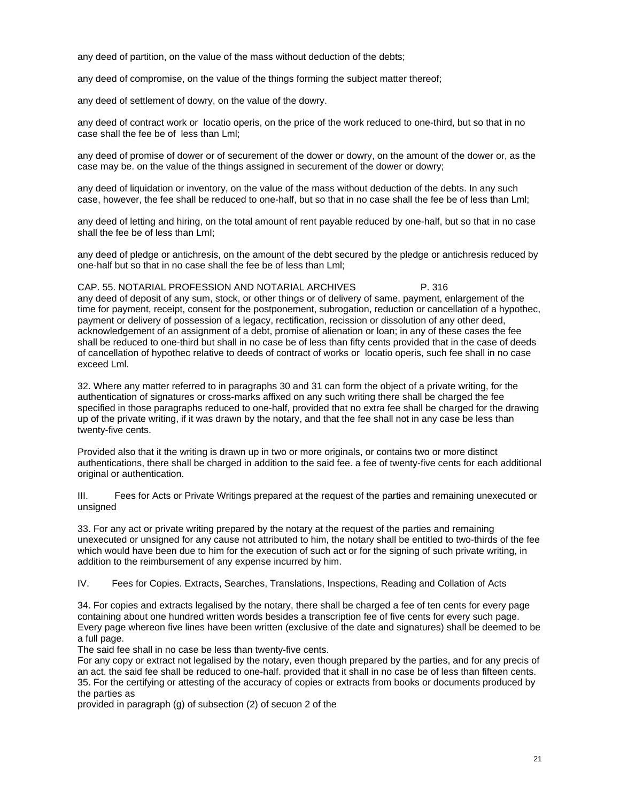any deed of partition, on the value of the mass without deduction of the debts;

any deed of compromise, on the value of the things forming the subject matter thereof;

any deed of settlement of dowry, on the value of the dowry.

any deed of contract work or locatio operis, on the price of the work reduced to one-third, but so that in no case shall the fee be of less than Lml;

any deed of promise of dower or of securement of the dower or dowry, on the amount of the dower or, as the case may be. on the value of the things assigned in securement of the dower or dowry;

any deed of liquidation or inventory, on the value of the mass without deduction of the debts. In any such case, however, the fee shall be reduced to one-half, but so that in no case shall the fee be of less than Lml;

any deed of letting and hiring, on the total amount of rent payable reduced by one-half, but so that in no case shall the fee be of less than LmI;

any deed of pledge or antichresis, on the amount of the debt secured by the pledge or antichresis reduced by one-half but so that in no case shall the fee be of less than Lml;

CAP. 55. NOTARIAL PROFESSION AND NOTARIAL ARCHIVES P. 316 any deed of deposit of any sum, stock, or other things or of delivery of same, payment, enlargement of the time for payment, receipt, consent for the postponement, subrogation, reduction or cancellation of a hypothec, payment or delivery of possession of a legacy, rectification, recission or dissolution of any other deed, acknowledgement of an assignment of a debt, promise of alienation or loan; in any of these cases the fee shall be reduced to one-third but shall in no case be of less than fifty cents provided that in the case of deeds of cancellation of hypothec relative to deeds of contract of works or locatio operis, such fee shall in no case exceed Lml.

32. Where any matter referred to in paragraphs 30 and 31 can form the object of a private writing, for the authentication of signatures or cross-marks affixed on any such writing there shall be charged the fee specified in those paragraphs reduced to one-half, provided that no extra fee shall be charged for the drawing up of the private writing, if it was drawn by the notary, and that the fee shall not in any case be less than twenty-five cents.

Provided also that it the writing is drawn up in two or more originals, or contains two or more distinct authentications, there shall be charged in addition to the said fee. a fee of twenty-five cents for each additional original or authentication.

III. Fees for Acts or Private Writings prepared at the request of the parties and remaining unexecuted or unsigned

33. For any act or private writing prepared by the notary at the request of the parties and remaining unexecuted or unsigned for any cause not attributed to him, the notary shall be entitled to two-thirds of the fee which would have been due to him for the execution of such act or for the signing of such private writing, in addition to the reimbursement of any expense incurred by him.

IV. Fees for Copies. Extracts, Searches, Translations, Inspections, Reading and Collation of Acts

34. For copies and extracts legalised by the notary, there shall be charged a fee of ten cents for every page containing about one hundred written words besides a transcription fee of five cents for every such page. Every page whereon five lines have been written (exclusive of the date and signatures) shall be deemed to be a full page.

The said fee shall in no case be less than twenty-five cents.

For any copy or extract not legalised by the notary, even though prepared by the parties, and for any precis of an act. the said fee shall be reduced to one-half. provided that it shall in no case be of less than fifteen cents. 35. For the certifying or attesting of the accuracy of copies or extracts from books or documents produced by the parties as

provided in paragraph (g) of subsection (2) of secuon 2 of the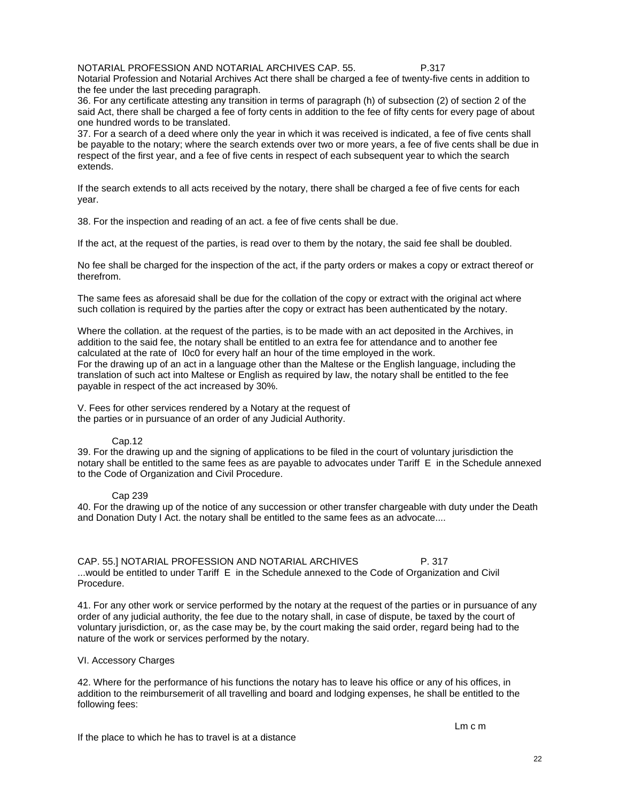NOTARIAL PROFESSION AND NOTARIAL ARCHIVES CAP. 55. P.317

Notarial Profession and Notarial Archives Act there shall be charged a fee of twenty-five cents in addition to the fee under the last preceding paragraph.

36. For any certificate attesting any transition in terms of paragraph (h) of subsection (2) of section 2 of the said Act, there shall be charged a fee of forty cents in addition to the fee of fifty cents for every page of about one hundred words to be translated.

37. For a search of a deed where only the year in which it was received is indicated, a fee of five cents shall be payable to the notary; where the search extends over two or more years, a fee of five cents shall be due in respect of the first year, and a fee of five cents in respect of each subsequent year to which the search extends.

If the search extends to all acts received by the notary, there shall be charged a fee of five cents for each year.

38. For the inspection and reading of an act. a fee of five cents shall be due.

If the act, at the request of the parties, is read over to them by the notary, the said fee shall be doubled.

No fee shall be charged for the inspection of the act, if the party orders or makes a copy or extract thereof or therefrom.

The same fees as aforesaid shall be due for the collation of the copy or extract with the original act where such collation is required by the parties after the copy or extract has been authenticated by the notary.

Where the collation. at the request of the parties, is to be made with an act deposited in the Archives, in addition to the said fee, the notary shall be entitled to an extra fee for attendance and to another fee calculated at the rate of I0c0 for every half an hour of the time employed in the work. For the drawing up of an act in a language other than the Maltese or the English language, including the translation of such act into Maltese or English as required by law, the notary shall be entitled to the fee payable in respect of the act increased by 30%.

V. Fees for other services rendered by a Notary at the request of the parties or in pursuance of an order of any Judicial Authority.

### Cap.12

39. For the drawing up and the signing of applications to be filed in the court of voluntary jurisdiction the notary shall be entitled to the same fees as are payable to advocates under Tariff E in the Schedule annexed to the Code of Organization and Civil Procedure.

### Cap 239

40. For the drawing up of the notice of any succession or other transfer chargeable with duty under the Death and Donation Duty I Act. the notary shall be entitled to the same fees as an advocate....

CAP. 55.] NOTARIAL PROFESSION AND NOTARIAL ARCHIVES P. 317 ...would be entitled to under Tariff E in the Schedule annexed to the Code of Organization and Civil Procedure.

41. For any other work or service performed by the notary at the request of the parties or in pursuance of any order of any judicial authority, the fee due to the notary shall, in case of dispute, be taxed by the court of voluntary jurisdiction, or, as the case may be, by the court making the said order, regard being had to the nature of the work or services performed by the notary.

### VI. Accessory Charges

42. Where for the performance of his functions the notary has to leave his office or any of his offices, in addition to the reimbursemerit of all travelling and board and lodging expenses, he shall be entitled to the following fees: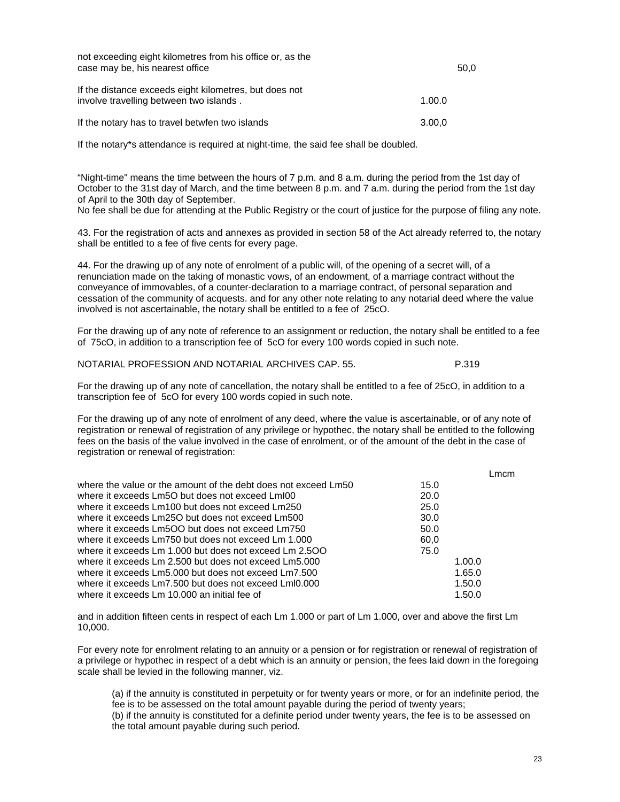| not exceeding eight kilometres from his office or, as the<br>case may be, his nearest office      |        | 50.0 |
|---------------------------------------------------------------------------------------------------|--------|------|
| If the distance exceeds eight kilometres, but does not<br>involve travelling between two islands. | 1.00.0 |      |
| If the notary has to travel betwfen two islands                                                   | 3.00,0 |      |

If the notary\*s attendance is required at night-time, the said fee shall be doubled.

"Night-time" means the time between the hours of 7 p.m. and 8 a.m. during the period from the 1st day of October to the 31st day of March, and the time between 8 p.m. and 7 a.m. during the period from the 1st day of April to the 30th day of September.

No fee shall be due for attending at the Public Registry or the court of justice for the purpose of filing any note.

43. For the registration of acts and annexes as provided in section 58 of the Act already referred to, the notary shall be entitled to a fee of five cents for every page.

44. For the drawing up of any note of enrolment of a public will, of the opening of a secret will, of a renunciation made on the taking of monastic vows, of an endowment, of a marriage contract without the conveyance of immovables, of a counter-declaration to a marriage contract, of personal separation and cessation of the community of acquests. and for any other note relating to any notarial deed where the value involved is not ascertainable, the notary shall be entitled to a fee of 25cO.

For the drawing up of any note of reference to an assignment or reduction, the notary shall be entitled to a fee of 75cO, in addition to a transcription fee of 5cO for every 100 words copied in such note.

|  | NOTARIAL PROFESSION AND NOTARIAL ARCHIVES CAP. 55. |  | P.319 |
|--|----------------------------------------------------|--|-------|
|--|----------------------------------------------------|--|-------|

For the drawing up of any note of cancellation, the notary shall be entitled to a fee of 25cO, in addition to a transcription fee of 5cO for every 100 words copied in such note.

For the drawing up of any note of enrolment of any deed, where the value is ascertainable, or of any note of registration or renewal of registration of any privilege or hypothec, the notary shall be entitled to the following fees on the basis of the value involved in the case of enrolment, or of the amount of the debt in the case of registration or renewal of registration:

|                                                                |      | L <sub>mcm</sub> |
|----------------------------------------------------------------|------|------------------|
| where the value or the amount of the debt does not exceed Lm50 | 15.0 |                  |
| where it exceeds Lm5O but does not exceed Lm100                | 20.0 |                  |
| where it exceeds Lm100 but does not exceed Lm250               | 25.0 |                  |
| where it exceeds Lm25O but does not exceed Lm500               | 30.0 |                  |
| where it exceeds Lm5OO but does not exceed Lm750               | 50.0 |                  |
| where it exceeds Lm750 but does not exceed Lm 1.000            | 60.0 |                  |
| where it exceeds Lm 1.000 but does not exceed Lm 2.500         | 75.0 |                  |
| where it exceeds Lm 2.500 but does not exceed Lm5.000          |      | 1.00.0           |
| where it exceeds Lm5.000 but does not exceed Lm7.500           |      | 1.65.0           |
| where it exceeds Lm7.500 but does not exceed LmI0.000          |      | 1.50.0           |
| where it exceeds Lm 10,000 an initial fee of                   |      | 1.50.0           |

and in addition fifteen cents in respect of each Lm 1.000 or part of Lm 1.000, over and above the first Lm 10,000.

For every note for enrolment relating to an annuity or a pension or for registration or renewal of registration of a privilege or hypothec in respect of a debt which is an annuity or pension, the fees laid down in the foregoing scale shall be levied in the following manner, viz.

(a) if the annuity is constituted in perpetuity or for twenty years or more, or for an indefinite period, the fee is to be assessed on the total amount payable during the period of twenty years;

(b) if the annuity is constituted for a definite period under twenty years, the fee is to be assessed on the total amount payable during such period.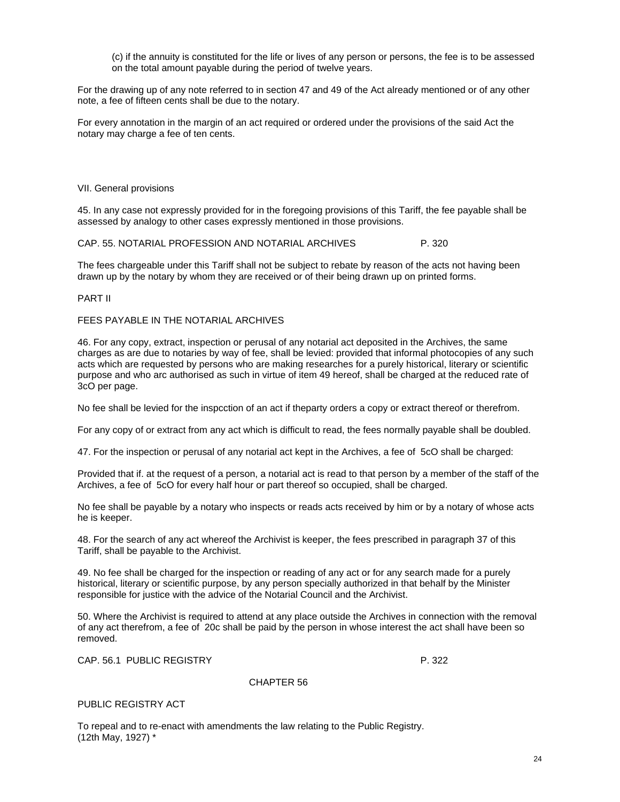(c) if the annuity is constituted for the life or lives of any person or persons, the fee is to be assessed on the total amount payable during the period of twelve years.

For the drawing up of any note referred to in section 47 and 49 of the Act already mentioned or of any other note, a fee of fifteen cents shall be due to the notary.

For every annotation in the margin of an act required or ordered under the provisions of the said Act the notary may charge a fee of ten cents.

#### VII. General provisions

45. In any case not expressly provided for in the foregoing provisions of this Tariff, the fee payable shall be assessed by analogy to other cases expressly mentioned in those provisions.

#### CAP. 55. NOTARIAL PROFESSION AND NOTARIAL ARCHIVES P. 320

The fees chargeable under this Tariff shall not be subject to rebate by reason of the acts not having been drawn up by the notary by whom they are received or of their being drawn up on printed forms.

#### PART II

## FEES PAYABLE IN THE NOTARIAL ARCHIVES

46. For any copy, extract, inspection or perusal of any notarial act deposited in the Archives, the same charges as are due to notaries by way of fee, shall be levied: provided that informal photocopies of any such acts which are requested by persons who are making researches for a purely historical, literary or scientific purpose and who arc authorised as such in virtue of item 49 hereof, shall be charged at the reduced rate of 3cO per page.

No fee shall be levied for the inspcction of an act if theparty orders a copy or extract thereof or therefrom.

For any copy of or extract from any act which is difficult to read, the fees normally payable shall be doubled.

47. For the inspection or perusal of any notarial act kept in the Archives, a fee of 5cO shall be charged:

Provided that if. at the request of a person, a notarial act is read to that person by a member of the staff of the Archives, a fee of 5cO for every half hour or part thereof so occupied, shall be charged.

No fee shall be payable by a notary who inspects or reads acts received by him or by a notary of whose acts he is keeper.

48. For the search of any act whereof the Archivist is keeper, the fees prescribed in paragraph 37 of this Tariff, shall be payable to the Archivist.

49. No fee shall be charged for the inspection or reading of any act or for any search made for a purely historical, literary or scientific purpose, by any person specially authorized in that behalf by the Minister responsible for justice with the advice of the Notarial Council and the Archivist.

50. Where the Archivist is required to attend at any place outside the Archives in connection with the removal of any act therefrom, a fee of 20c shall be paid by the person in whose interest the act shall have been so removed.

CAP. 56.1 PUBLIC REGISTRY **P. 322** 

PUBLIC REGISTRY ACT

To repeal and to re-enact with amendments the law relating to the Public Registry. (12th May, 1927) \*

CHAPTER 56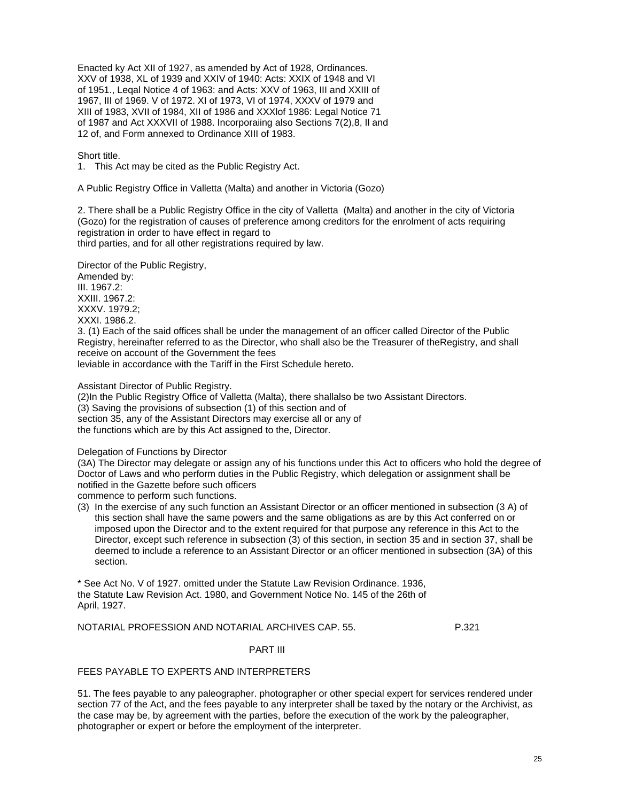Enacted ky Act XII of 1927, as amended by Act of 1928, Ordinances. XXV of 1938, XL of 1939 and XXIV of 1940: Acts: XXIX of 1948 and VI of 1951., Leqal Notice 4 of 1963: and Acts: XXV of 1963, III and XXIII of 1967, III of 1969. V of 1972. XI of 1973, VI of 1974, XXXV of 1979 and XIII of 1983, XVII of 1984, XII of 1986 and XXXlof 1986: Legal Notice 71 of 1987 and Act XXXVII of 1988. Incorporaiing also Sections 7(2),8, Il and 12 of, and Form annexed to Ordinance XIII of 1983.

Short title.

1. This Act may be cited as the Public Registry Act.

A Public Registry Office in Valletta (Malta) and another in Victoria (Gozo)

2. There shall be a Public Registry Office in the city of Valletta (Malta) and another in the city of Victoria (Gozo) for the registration of causes of preference among creditors for the enrolment of acts requiring registration in order to have effect in regard to third parties, and for all other registrations required by law.

Director of the Public Registry,

Amended by: III. 1967.2: XXIII. 1967.2: XXXV. 1979.2; XXXI. 1986.2.

3. (1) Each of the said offices shall be under the management of an officer called Director of the Public Registry, hereinafter referred to as the Director, who shall also be the Treasurer of theRegistry, and shall receive on account of the Government the fees

leviable in accordance with the Tariff in the First Schedule hereto.

Assistant Director of Public Registry.

(2)In the Public Registry Office of Valletta (Malta), there shallalso be two Assistant Directors. (3) Saving the provisions of subsection (1) of this section and of section 35, any of the Assistant Directors may exercise all or any of the functions which are by this Act assigned to the, Director.

Delegation of Functions by Director

(3A) The Director may delegate or assign any of his functions under this Act to officers who hold the degree of Doctor of Laws and who perform duties in the Public Registry, which delegation or assignment shall be notified in the Gazette before such officers

commence to perform such functions.

(3) In the exercise of any such function an Assistant Director or an officer mentioned in subsection (3 A) of this section shall have the same powers and the same obligations as are by this Act conferred on or imposed upon the Director and to the extent required for that purpose any reference in this Act to the Director, except such reference in subsection (3) of this section, in section 35 and in section 37, shall be deemed to include a reference to an Assistant Director or an officer mentioned in subsection (3A) of this section.

\* See Act No. V of 1927. omitted under the Statute Law Revision Ordinance. 1936, the Statute Law Revision Act. 1980, and Government Notice No. 145 of the 26th of April, 1927.

NOTARIAL PROFESSION AND NOTARIAL ARCHIVES CAP. 55. P.321

### PART III

# FEES PAYABLE TO EXPERTS AND INTERPRETERS

51. The fees payable to any paleographer. photographer or other special expert for services rendered under section 77 of the Act, and the fees payable to any interpreter shall be taxed by the notary or the Archivist, as the case may be, by agreement with the parties, before the execution of the work by the paleographer, photographer or expert or before the employment of the interpreter.